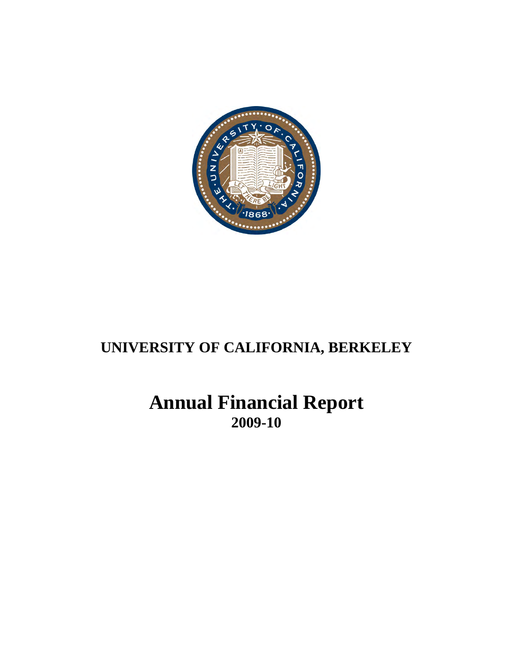

# **UNIVERSITY OF CALIFORNIA, BERKELEY**

# **Annual Financial Report 2009-10**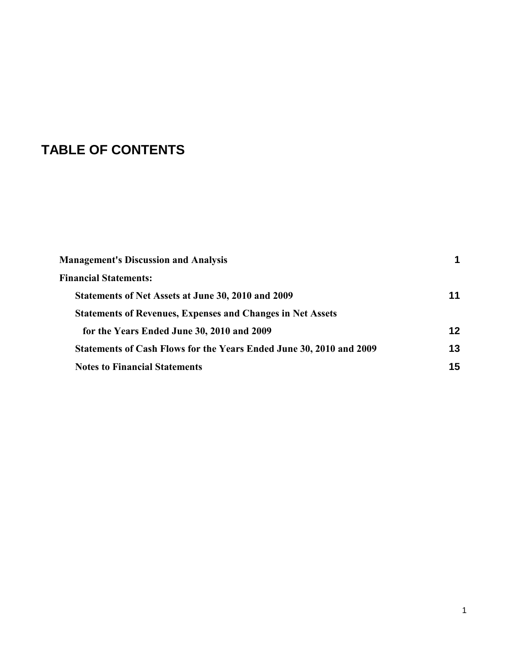# **TABLE OF CONTENTS**

| <b>Management's Discussion and Analysis</b>                         |    |
|---------------------------------------------------------------------|----|
| <b>Financial Statements:</b>                                        |    |
| Statements of Net Assets at June 30, 2010 and 2009                  | 11 |
| <b>Statements of Revenues, Expenses and Changes in Net Assets</b>   |    |
| for the Years Ended June 30, 2010 and 2009                          | 12 |
| Statements of Cash Flows for the Years Ended June 30, 2010 and 2009 | 13 |
| <b>Notes to Financial Statements</b>                                | 15 |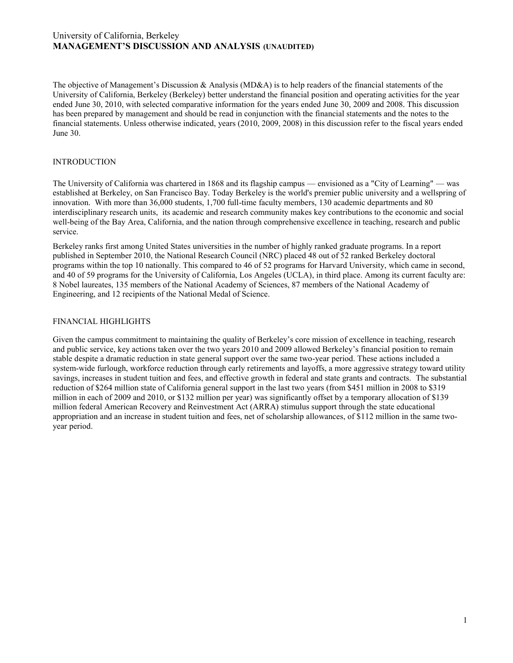The objective of Management's Discussion & Analysis (MD&A) is to help readers of the financial statements of the University of California, Berkeley (Berkeley) better understand the financial position and operating activities for the year ended June 30, 2010, with selected comparative information for the years ended June 30, 2009 and 2008*.* This discussion has been prepared by management and should be read in conjunction with the financial statements and the notes to the financial statements. Unless otherwise indicated, years (2010, 2009, 2008) in this discussion refer to the fiscal years ended June 30.

## **INTRODUCTION**

The University of California was chartered in 1868 and its flagship campus — envisioned as a "City of Learning" — was established at Berkeley, on San Francisco Bay. Today Berkeley is the world's premier public university and a wellspring of innovation. With more than 36,000 students, 1,700 full-time faculty members, 130 academic departments and 80 interdisciplinary research units, its academic and research community makes key contributions to the economic and social well-being of the Bay Area, California, and the nation through comprehensive excellence in teaching, research and public service.

Berkeley ranks first among United States universities in the number of highly ranked graduate programs. In a report published in September 2010, the National Research Council (NRC) placed 48 out of 52 ranked Berkeley doctoral programs within the top 10 nationally. This compared to 46 of 52 programs for Harvard University, which came in second, and 40 of 59 programs for the University of California, Los Angeles (UCLA), in third place. Among its current faculty are: 8 Nobel laureates, 135 members of the National Academy of Sciences, 87 members of the National Academy of Engineering, and 12 recipients of the National Medal of Science.

# FINANCIAL HIGHLIGHTS

Given the campus commitment to maintaining the quality of Berkeley's core mission of excellence in teaching, research and public service, key actions taken over the two years 2010 and 2009 allowed Berkeley's financial position to remain stable despite a dramatic reduction in state general support over the same two-year period. These actions included a system-wide furlough, workforce reduction through early retirements and layoffs, a more aggressive strategy toward utility savings, increases in student tuition and fees, and effective growth in federal and state grants and contracts. The substantial reduction of \$264 million state of California general support in the last two years (from \$451 million in 2008 to \$319 million in each of 2009 and 2010, or \$132 million per year) was significantly offset by a temporary allocation of \$139 million federal American Recovery and Reinvestment Act (ARRA) stimulus support through the state educational appropriation and an increase in student tuition and fees, net of scholarship allowances, of \$112 million in the same twoyear period.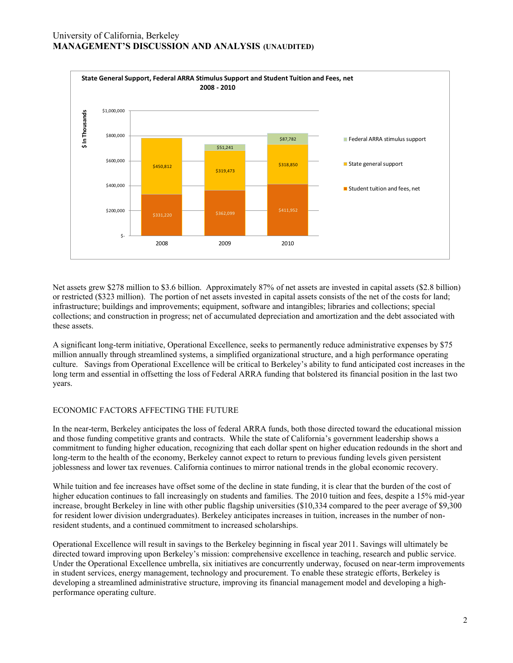

Net assets grew \$278 million to \$3.6 billion. Approximately 87% of net assets are invested in capital assets (\$2.8 billion) or restricted (\$323 million). The portion of net assets invested in capital assets consists of the net of the costs for land; infrastructure; buildings and improvements; equipment, software and intangibles; libraries and collections; special collections; and construction in progress; net of accumulated depreciation and amortization and the debt associated with these assets.

A significant long-term initiative, Operational Excellence, seeks to permanently reduce administrative expenses by \$75 million annually through streamlined systems, a simplified organizational structure, and a high performance operating culture. Savings from Operational Excellence will be critical to Berkeley's ability to fund anticipated cost increases in the long term and essential in offsetting the loss of Federal ARRA funding that bolstered its financial position in the last two years.

# ECONOMIC FACTORS AFFECTING THE FUTURE

In the near-term, Berkeley anticipates the loss of federal ARRA funds, both those directed toward the educational mission and those funding competitive grants and contracts. While the state of California's government leadership shows a commitment to funding higher education, recognizing that each dollar spent on higher education redounds in the short and long-term to the health of the economy, Berkeley cannot expect to return to previous funding levels given persistent joblessness and lower tax revenues. California continues to mirror national trends in the global economic recovery.

While tuition and fee increases have offset some of the decline in state funding, it is clear that the burden of the cost of higher education continues to fall increasingly on students and families. The 2010 tuition and fees, despite a 15% mid-year increase, brought Berkeley in line with other public flagship universities (\$10,334 compared to the peer average of \$9,300 for resident lower division undergraduates). Berkeley anticipates increases in tuition, increases in the number of nonresident students, and a continued commitment to increased scholarships.

Operational Excellence will result in savings to the Berkeley beginning in fiscal year 2011. Savings will ultimately be directed toward improving upon Berkeley's mission: comprehensive excellence in teaching, research and public service. Under the Operational Excellence umbrella, six initiatives are concurrently underway, focused on near-term improvements in student services, energy management, technology and procurement. To enable these strategic efforts, Berkeley is developing a streamlined administrative structure, improving its financial management model and developing a highperformance operating culture.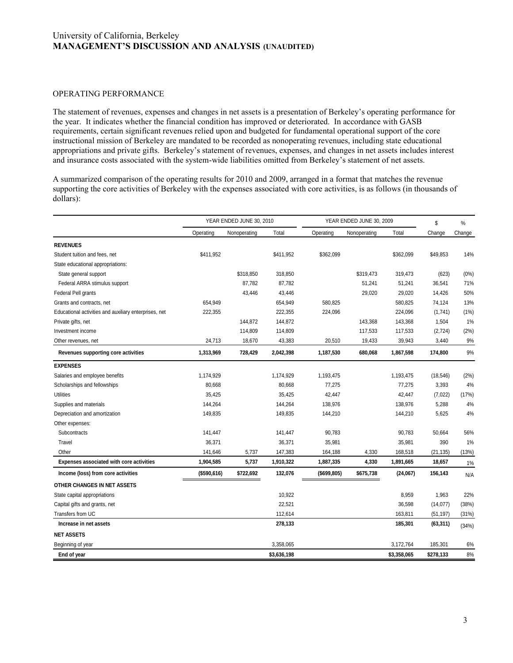## OPERATING PERFORMANCE

The statement of revenues, expenses and changes in net assets is a presentation of Berkeley's operating performance for the year. It indicates whether the financial condition has improved or deteriorated. In accordance with GASB requirements, certain significant revenues relied upon and budgeted for fundamental operational support of the core instructional mission of Berkeley are mandated to be recorded as nonoperating revenues, including state educational appropriations and private gifts. Berkeley's statement of revenues, expenses, and changes in net assets includes interest and insurance costs associated with the system-wide liabilities omitted from Berkeley's statement of net assets.

A summarized comparison of the operating results for 2010 and 2009, arranged in a format that matches the revenue supporting the core activities of Berkeley with the expenses associated with core activities, is as follows (in thousands of dollars):

| supporting the core activities of Berkeley with the expenses associated with core activities, is as follows (in thousands of<br>dollars): |             |                          |             |              |                          |             |              |         |
|-------------------------------------------------------------------------------------------------------------------------------------------|-------------|--------------------------|-------------|--------------|--------------------------|-------------|--------------|---------|
|                                                                                                                                           |             | YEAR ENDED JUNE 30, 2010 |             |              | YEAR ENDED JUNE 30, 2009 |             |              | $\%$    |
|                                                                                                                                           | Operating   | Nonoperating             | Total       | Operating    | Nonoperating             | Total       | \$<br>Change | Change  |
| <b>REVENUES</b>                                                                                                                           |             |                          |             |              |                          |             |              |         |
| Student tuition and fees, net                                                                                                             | \$411,952   |                          | \$411,952   | \$362,099    |                          | \$362,099   | \$49,853     | 14%     |
| State educational appropriations:                                                                                                         |             |                          |             |              |                          |             |              |         |
| State general support                                                                                                                     |             | \$318,850                | 318,850     |              | \$319,473                | 319,473     | (623)        | $(0\%)$ |
| Federal ARRA stimulus support                                                                                                             |             | 87,782                   | 87,782      |              | 51,241                   | 51,241      | 36,541       | 71%     |
| Federal Pell grants                                                                                                                       |             | 43,446                   | 43,446      |              | 29,020                   | 29,020      | 14,426       | 50%     |
| Grants and contracts, net                                                                                                                 | 654,949     |                          | 654,949     | 580,825      |                          | 580,825     | 74,124       | 13%     |
| Educational activities and auxiliary enterprises, net                                                                                     | 222,355     |                          | 222,355     | 224,096      |                          | 224,096     | (1,741)      | (1%)    |
| Private gifts, net                                                                                                                        |             | 144,872                  | 144,872     |              | 143,368                  | 143,368     | 1,504        | 1%      |
| Investment income                                                                                                                         |             | 114,809                  | 114,809     |              | 117,533                  | 117,533     | (2, 724)     | (2%)    |
| Other revenues, net                                                                                                                       | 24,713      | 18,670                   | 43,383      | 20,510       | 19,433                   | 39,943      | 3,440        | 9%      |
| Revenues supporting core activities                                                                                                       | 1,313,969   | 728,429                  | 2,042,398   | 1,187,530    | 680,068                  | 1,867,598   | 174,800      | 9%      |
| <b>EXPENSES</b>                                                                                                                           |             |                          |             |              |                          |             |              |         |
| Salaries and employee benefits                                                                                                            | 1,174,929   |                          | 1,174,929   | 1,193,475    |                          | 1,193,475   | (18, 546)    | (2%)    |
| Scholarships and fellowships                                                                                                              | 80,668      |                          | 80,668      | 77,275       |                          | 77,275      | 3,393        | 4%      |
| <b>Utilities</b>                                                                                                                          | 35,425      |                          | 35,425      | 42,447       |                          | 42,447      | (7,022)      | (17%)   |
| Supplies and materials                                                                                                                    | 144,264     |                          | 144,264     | 138,976      |                          | 138,976     | 5,288        | 4%      |
| Depreciation and amortization                                                                                                             | 149,835     |                          | 149,835     | 144,210      |                          | 144,210     | 5,625        | 4%      |
| Other expenses:                                                                                                                           |             |                          |             |              |                          |             |              |         |
| Subcontracts                                                                                                                              | 141,447     |                          | 141,447     | 90,783       |                          | 90,783      | 50,664       | 56%     |
| Travel                                                                                                                                    | 36,371      |                          | 36,371      | 35,981       |                          | 35,981      | 390          | 1%      |
| Other                                                                                                                                     | 141,646     | 5,737                    | 147,383     | 164,188      | 4,330                    | 168,518     | (21, 135)    | (13%)   |
| Expenses associated with core activities                                                                                                  | 1,904,585   | 5,737                    | 1,910,322   | 1,887,335    | 4,330                    | 1,891,665   | 18,657       | 1%      |
| Income (loss) from core activities                                                                                                        | (\$590,616) | \$722,692                | 132,076     | (\$699, 805) | \$675,738                | (24,067)    | 156,143      | N/A     |
| OTHER CHANGES IN NET ASSETS                                                                                                               |             |                          |             |              |                          |             |              |         |
| State capital appropriations                                                                                                              |             |                          | 10,922      |              |                          | 8,959       | 1,963        | 22%     |
| Capital gifts and grants, net                                                                                                             |             |                          | 22,521      |              |                          | 36,598      | (14, 077)    | (38%)   |
| Transfers from UC                                                                                                                         |             |                          | 112,614     |              |                          | 163,811     | (51, 197)    | (31%)   |
| Increase in net assets                                                                                                                    |             |                          | 278,133     |              |                          | 185,301     | (63, 311)    | (34%)   |
| <b>NET ASSETS</b>                                                                                                                         |             |                          |             |              |                          |             |              |         |
| Beginning of year                                                                                                                         |             |                          | 3,358,065   |              |                          | 3,172,764   | 185,301      | 6%      |
| End of year                                                                                                                               |             |                          | \$3,636,198 |              |                          | \$3,358,065 | \$278,133    | 8%      |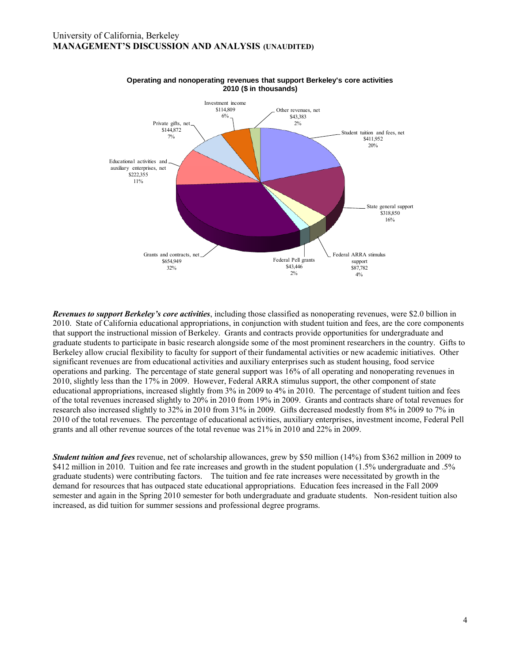

#### **Operating and nonoperating revenues that support Berkeley's core activities 2010 (\$ in thousands)**

Student tuition and fees, net<br>
student since and Fees, net<br>
State general support<br>
State general support<br>
State general support<br>
States and 16%<br>
State and State is apport<br>
state support<br>
ting revenues, were \$2.0 billion i *Revenues to support Berkeley's core activities*, including those classified as nonoperating revenues, were \$2.0 billion in 2010. State of California educational appropriations, in conjunction with student tuition and fees, are the core components that support the instructional mission of Berkeley. Grants and contracts provide opportunities for undergraduate and graduate students to participate in basic research alongside some of the most prominent researchers in the country. Gifts to Berkeley allow crucial flexibility to faculty for support of their fundamental activities or new academic initiatives. Other significant revenues are from educational activities and auxiliary enterprises such as student housing, food service operations and parking. The percentage of state general support was 16% of all operating and nonoperating revenues in 2010, slightly less than the 17% in 2009. However, Federal ARRA stimulus support, the other component of state educational appropriations, increased slightly from 3% in 2009 to 4% in 2010. The percentage of student tuition and fees of the total revenues increased slightly to 20% in 2010 from 19% in 2009. Grants and contracts share of total revenues for research also increased slightly to 32% in 2010 from 31% in 2009. Gifts decreased modestly from 8% in 2009 to 7% in 2010 of the total revenues. The percentage of educational activities, auxiliary enterprises, investment income, Federal Pell grants and all other revenue sources of the total revenue was 21% in 2010 and 22% in 2009.

*Student tuition and fees* revenue, net of scholarship allowances, grew by \$50 million (14%) from \$362 million in 2009 to \$412 million in 2010. Tuition and fee rate increases and growth in the student population (1.5% undergraduate and .5% graduate students) were contributing factors. The tuition and fee rate increases were necessitated by growth in the demand for resources that has outpaced state educational appropriations. Education fees increased in the Fall 2009 semester and again in the Spring 2010 semester for both undergraduate and graduate students. Non-resident tuition also increased, as did tuition for summer sessions and professional degree programs.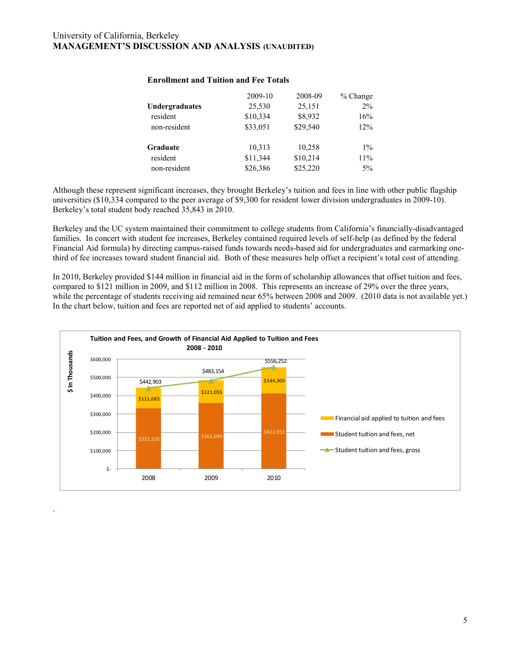*.*

| <b>Enrollment and Tuition and Fee Totals</b> |          |          |            |  |  |  |  |
|----------------------------------------------|----------|----------|------------|--|--|--|--|
|                                              | 2009-10  | 2008-09  | $%$ Change |  |  |  |  |
| Undergraduates                               | 25,530   | 25,151   | $2\%$      |  |  |  |  |
| resident                                     | \$10,334 | \$8,932  | 16%        |  |  |  |  |
| non-resident                                 | \$33,051 | \$29,540 | 12%        |  |  |  |  |
| Graduate                                     | 10,313   | 10,258   | $1\%$      |  |  |  |  |
| resident                                     | \$11,344 | \$10,214 | 11%        |  |  |  |  |
| non-resident                                 | \$26,386 | \$25,220 | $5\%$      |  |  |  |  |

## **Enrollment and Tuition and Fee Totals**

Although these represent significant increases, they brought Berkeley's tuition and fees in line with other public flagship universities (\$10,334 compared to the peer average of \$9,300 for resident lower division undergraduates in 2009-10). Berkeley's total student body reached 35,843 in 2010.

Berkeley and the UC system maintained their commitment to college students from California's financially-disadvantaged families. In concert with student fee increases, Berkeley contained required levels of self-help (as defined by the federal Financial Aid formula) by directing campus-raised funds towards needs-based aid for undergraduates and earmarking onethird of fee increases toward student financial aid. Both of these measures help offset a recipient's total cost of attending.

In 2010, Berkeley provided \$144 million in financial aid in the form of scholarship allowances that offset tuition and fees, compared to \$121 million in 2009, and \$112 million in 2008. This represents an increase of 29% over the three years, while the percentage of students receiving aid remained near 65% between 2008 and 2009. (2010 data is not available yet.) In the chart below, tuition and fees are reported net of aid applied to students' accounts.

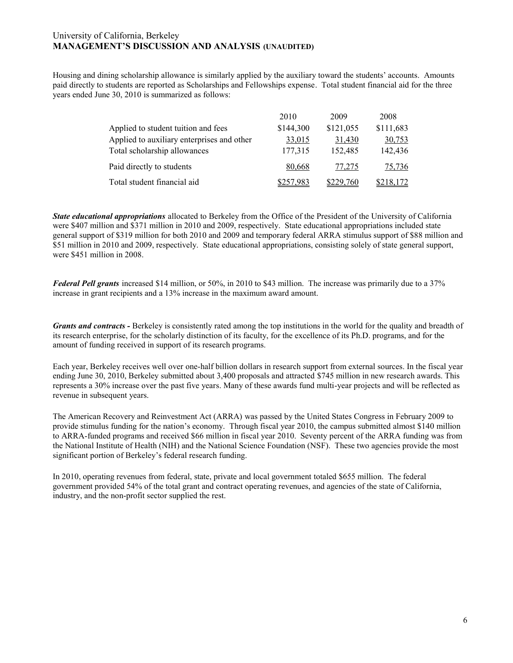Housing and dining scholarship allowance is similarly applied by the auxiliary toward the students' accounts. Amounts paid directly to students are reported as Scholarships and Fellowships expense. Total student financial aid for the three<br>
years ended June 30, 2010 is summarized as follows:<br>
2010 2009 2008<br>
2010 2009 2008<br>
2010 2009 2008 years ended June 30, 2010 is summarized as follows:

| $\alpha$ 50, 2010 is summarized as follows. |           |           |           |  |
|---------------------------------------------|-----------|-----------|-----------|--|
|                                             | 2010      | 2009      | 2008      |  |
| Applied to student tuition and fees         | \$144,300 | \$121,055 | \$111,683 |  |
| Applied to auxiliary enterprises and other  | 33,015    | 31,430    | 30,753    |  |
| Total scholarship allowances                | 177,315   | 152,485   | 142,436   |  |
| Paid directly to students                   | 80,668    | 77,275    | 75,736    |  |
| Total student financial aid                 | \$257,983 | \$229,760 | \$218,172 |  |

*State educational appropriations* allocated to Berkeley from the Office of the President of the University of California were \$407 million and \$371 million in 2010 and 2009, respectively. State educational appropriations included state general support of \$319 million for both 2010 and 2009 and temporary federal ARRA stimulus support of \$88 million and \$51 million in 2010 and 2009, respectively. State educational appropriations, consisting solely of state general support, were \$451 million in 2008.

*Federal Pell grants* increased \$14 million, or 50%, in 2010 to \$43 million. The increase was primarily due to a 37% increase in grant recipients and a 13% increase in the maximum award amount.

*Grants and contracts -* Berkeley is consistently rated among the top institutions in the world for the quality and breadth of its research enterprise, for the scholarly distinction of its faculty, for the excellence of its Ph.D. programs, and for the amount of funding received in support of its research programs.

Each year, Berkeley receives well over one-half billion dollars in research support from external sources. In the fiscal year ending June 30, 2010, Berkeley submitted about 3,400 proposals and attracted \$745 million in new research awards. This represents a 30% increase over the past five years. Many of these awards fund multi-year projects and will be reflected as revenue in subsequent years.

The American Recovery and Reinvestment Act (ARRA) was passed by the United States Congress in February 2009 to provide stimulus funding for the nation's economy. Through fiscal year 2010, the campus submitted almost \$140 million to ARRA-funded programs and received \$66 million in fiscal year 2010. Seventy percent of the ARRA funding was from the National Institute of Health (NIH) and the National Science Foundation (NSF). These two agencies provide the most significant portion of Berkeley's federal research funding.

In 2010, operating revenues from federal, state, private and local government totaled \$655 million. The federal government provided 54% of the total grant and contract operating revenues, and agencies of the state of California, industry, and the non-profit sector supplied the rest.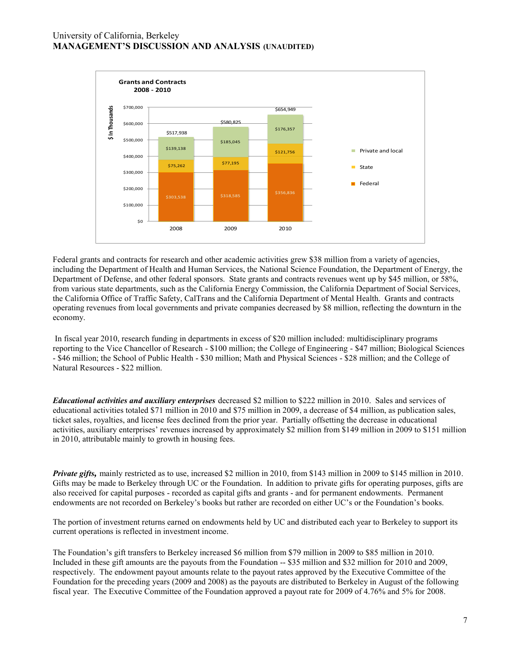

Federal grants and contracts for research and other academic activities grew \$38 million from a variety of agencies, including the Department of Health and Human Services, the National Science Foundation, the Department of Energy, the Department of Defense, and other federal sponsors. State grants and contracts revenues went up by \$45 million, or 58%, from various state departments, such as the California Energy Commission, the California Department of Social Services, the California Office of Traffic Safety, CalTrans and the California Department of Mental Health. Grants and contracts operating revenues from local governments and private companies decreased by \$8 million, reflecting the downturn in the economy.

In fiscal year 2010, research funding in departments in excess of \$20 million included: multidisciplinary programs reporting to the Vice Chancellor of Research - \$100 million; the College of Engineering - \$47 million; Biological Sciences - \$46 million; the School of Public Health - \$30 million; Math and Physical Sciences - \$28 million; and the College of Natural Resources - \$22 million.

*Educational activities and auxiliary enterprises* decreased \$2 million to \$222 million in 2010. Sales and services of educational activities totaled \$71 million in 2010 and \$75 million in 2009, a decrease of \$4 million, as publication sales, ticket sales, royalties, and license fees declined from the prior year. Partially offsetting the decrease in educational activities, auxiliary enterprises' revenues increased by approximately \$2 million from \$149 million in 2009 to \$151 million in 2010, attributable mainly to growth in housing fees.

*Private gifts,* mainly restricted as to use, increased \$2 million in 2010, from \$143 million in 2009 to \$145 million in 2010. Gifts may be made to Berkeley through UC or the Foundation. In addition to private gifts for operating purposes, gifts are also received for capital purposes - recorded as capital gifts and grants - and for permanent endowments. Permanent endowments are not recorded on Berkeley's books but rather are recorded on either UC's or the Foundation's books.

The portion of investment returns earned on endowments held by UC and distributed each year to Berkeley to support its current operations is reflected in investment income.

The Foundation's gift transfers to Berkeley increased \$6 million from \$79 million in 2009 to \$85 million in 2010. Included in these gift amounts are the payouts from the Foundation -- \$35 million and \$32 million for 2010 and 2009, respectively. The endowment payout amounts relate to the payout rates approved by the Executive Committee of the Foundation for the preceding years (2009 and 2008) as the payouts are distributed to Berkeley in August of the following fiscal year. The Executive Committee of the Foundation approved a payout rate for 2009 of 4.76% and 5% for 2008.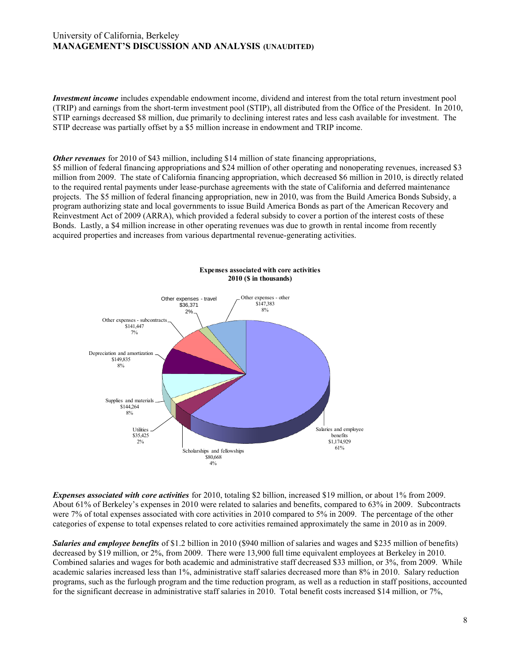*Investment income* includes expendable endowment income, dividend and interest from the total return investment pool (TRIP) and earnings from the short-term investment pool (STIP), all distributed from the Office of the President. In 2010, STIP earnings decreased \$8 million, due primarily to declining interest rates and less cash available for investment. The STIP decrease was partially offset by a \$5 million increase in endowment and TRIP income.

*Other revenues* for 2010 of \$43 million, including \$14 million of state financing appropriations,

\$5 million of federal financing appropriations and \$24 million of other operating and nonoperating revenues, increased \$3 million from 2009. The state of California financing appropriation, which decreased \$6 million in 2010, is directly related to the required rental payments under lease-purchase agreements with the state of California and deferred maintenance projects. The \$5 million of federal financing appropriation, new in 2010, was from the Build America Bonds Subsidy, a program authorizing state and local governments to issue Build America Bonds as part of the American Recovery and Reinvestment Act of 2009 (ARRA), which provided a federal subsidy to cover a portion of the interest costs of these Bonds. Lastly, a \$4 million increase in other operating revenues was due to growth in rental income from recently acquired properties and increases from various departmental revenue-generating activities.



*Expenses associated with core activities* for 2010, totaling \$2 billion, increased \$19 million, or about 1% from 2009. About 61% of Berkeley's expenses in 2010 were related to salaries and benefits, compared to 63% in 2009. Subcontracts were 7% of total expenses associated with core activities in 2010 compared to 5% in 2009. The percentage of the other categories of expense to total expenses related to core activities remained approximately the same in 2010 as in 2009.

*Salaries and employee benefits* of \$1.2 billion in 2010 (\$940 million of salaries and wages and \$235 million of benefits) decreased by \$19 million, or 2%, from 2009. There were 13,900 full time equivalent employees at Berkeley in 2010. Combined salaries and wages for both academic and administrative staff decreased \$33 million, or 3%, from 2009. While academic salaries increased less than 1%, administrative staff salaries decreased more than 8% in 2010. Salary reduction programs, such as the furlough program and the time reduction program, as well as a reduction in staff positions, accounted for the significant decrease in administrative staff salaries in 2010. Total benefit costs increased \$14 million, or 7%,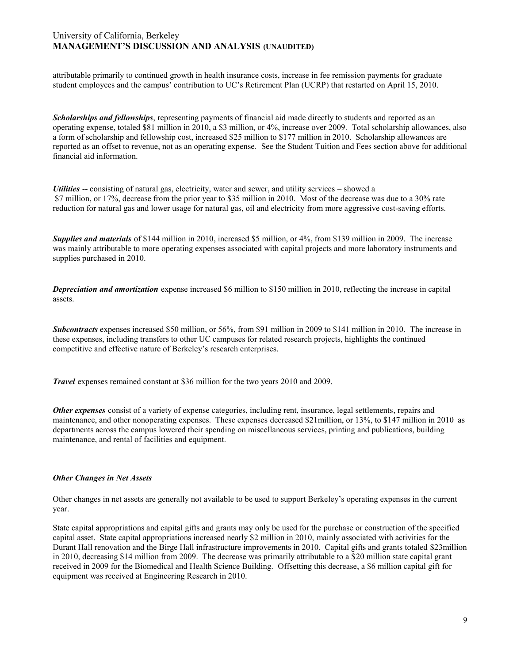attributable primarily to continued growth in health insurance costs, increase in fee remission payments for graduate student employees and the campus' contribution to UC's Retirement Plan (UCRP) that restarted on April 15, 2010.

*Scholarships and fellowships*, representing payments of financial aid made directly to students and reported as an operating expense, totaled \$81 million in 2010, a \$3 million, or 4%, increase over 2009. Total scholarship allowances, also a form of scholarship and fellowship cost, increased \$25 million to \$177 million in 2010. Scholarship allowances are reported as an offset to revenue, not as an operating expense. See the Student Tuition and Fees section above for additional financial aid information.

*Utilities* -- consisting of natural gas, electricity, water and sewer, and utility services – showed a \$7 million, or 17%, decrease from the prior year to \$35 million in 2010. Most of the decrease was due to a 30% rate reduction for natural gas and lower usage for natural gas, oil and electricity from more aggressive cost-saving efforts.

*Supplies and materials* of \$144 million in 2010, increased \$5 million, or 4%, from \$139 million in 2009. The increase was mainly attributable to more operating expenses associated with capital projects and more laboratory instruments and supplies purchased in 2010.

*Depreciation and amortization* expense increased \$6 million to \$150 million in 2010, reflecting the increase in capital assets.

*Subcontracts* expenses increased \$50 million, or 56%, from \$91 million in 2009 to \$141 million in 2010. The increase in these expenses, including transfers to other UC campuses for related research projects, highlights the continued competitive and effective nature of Berkeley's research enterprises.

*Travel* expenses remained constant at \$36 million for the two years 2010 and 2009.

*Other expenses* consist of a variety of expense categories, including rent, insurance, legal settlements, repairs and maintenance, and other nonoperating expenses. These expenses decreased \$21million, or 13%, to \$147 million in 2010 as departments across the campus lowered their spending on miscellaneous services, printing and publications, building maintenance, and rental of facilities and equipment.

## *Other Changes in Net Assets*

Other changes in net assets are generally not available to be used to support Berkeley's operating expenses in the current year.

State capital appropriations and capital gifts and grants may only be used for the purchase or construction of the specified capital asset. State capital appropriations increased nearly \$2 million in 2010, mainly associated with activities for the Durant Hall renovation and the Birge Hall infrastructure improvements in 2010. Capital gifts and grants totaled \$23million in 2010, decreasing \$14 million from 2009. The decrease was primarily attributable to a \$20 million state capital grant received in 2009 for the Biomedical and Health Science Building. Offsetting this decrease, a \$6 million capital gift for equipment was received at Engineering Research in 2010.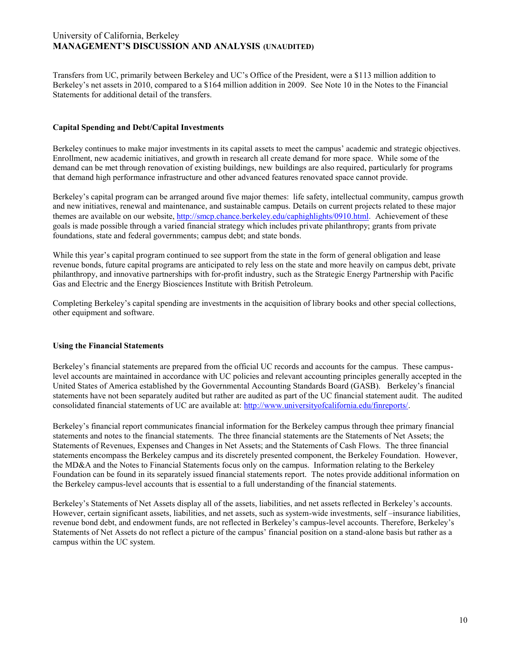Transfers from UC, primarily between Berkeley and UC's Office of the President, were a \$113 million addition to Berkeley's net assets in 2010, compared to a \$164 million addition in 2009. See Note 10 in the Notes to the Financial Statements for additional detail of the transfers.

#### **Capital Spending and Debt/Capital Investments**

Berkeley continues to make major investments in its capital assets to meet the campus' academic and strategic objectives. Enrollment, new academic initiatives, and growth in research all create demand for more space. While some of the demand can be met through renovation of existing buildings, new buildings are also required, particularly for programs that demand high performance infrastructure and other advanced features renovated space cannot provide.

Berkeley's capital program can be arranged around five major themes: life safety, intellectual community, campus growth and new initiatives, renewal and maintenance, and sustainable campus. Details on current projects related to these major themes are available on our website,<http://smcp.chance.berkeley.edu/caphighlights/0910.html>. Achievement of these goals is made possible through a varied financial strategy which includes private philanthropy; grants from private foundations, state and federal governments; campus debt; and state bonds.

While this year's capital program continued to see support from the state in the form of general obligation and lease revenue bonds, future capital programs are anticipated to rely less on the state and more heavily on campus debt, private philanthropy, and innovative partnerships with for-profit industry, such as the Strategic Energy Partnership with Pacific Gas and Electric and the Energy Biosciences Institute with British Petroleum.

Completing Berkeley's capital spending are investments in the acquisition of library books and other special collections, other equipment and software.

## **Using the Financial Statements**

Berkeley's financial statements are prepared from the official UC records and accounts for the campus. These campuslevel accounts are maintained in accordance with UC policies and relevant accounting principles generally accepted in the United States of America established by the Governmental Accounting Standards Board (GASB). Berkeley's financial statements have not been separately audited but rather are audited as part of the UC financial statement audit. The audited consolidated financial statements of UC are available at: http://www.universityofcalifornia.edu/finreports/.

Berkeley's financial report communicates financial information for the Berkeley campus through thee primary financial statements and notes to the financial statements. The three financial statements are the Statements of Net Assets; the Statements of Revenues, Expenses and Changes in Net Assets; and the Statements of Cash Flows. The three financial statements encompass the Berkeley campus and its discretely presented component, the Berkeley Foundation. However, the MD&A and the Notes to Financial Statements focus only on the campus. Information relating to the Berkeley Foundation can be found in its separately issued financial statements report. The notes provide additional information on the Berkeley campus-level accounts that is essential to a full understanding of the financial statements.

Berkeley's Statements of Net Assets display all of the assets, liabilities, and net assets reflected in Berkeley's accounts. However, certain significant assets, liabilities, and net assets, such as system-wide investments, self –insurance liabilities, revenue bond debt, and endowment funds, are not reflected in Berkeley's campus-level accounts. Therefore, Berkeley's Statements of Net Assets do not reflect a picture of the campus' financial position on a stand-alone basis but rather as a campus within the UC system.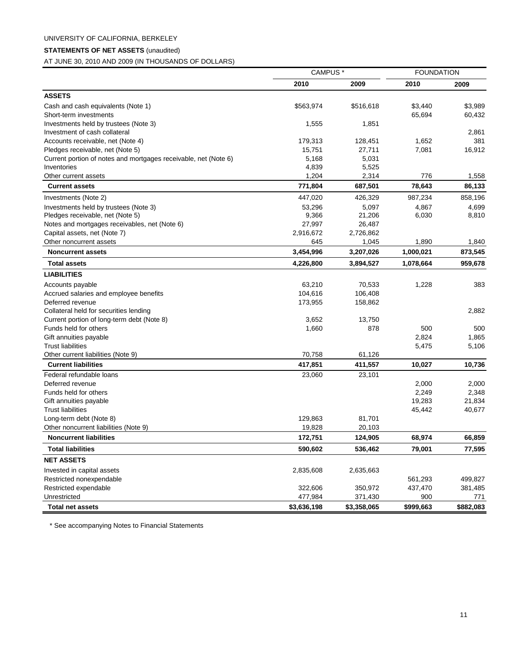# UNIVERSITY OF CALIFORNIA, BERKELEY

## **STATEMENTS OF NET ASSETS** (unaudited)

AT JUNE 30, 2010 AND 2009 (IN THOUSANDS OF DOLLARS)

| 2010<br>2009<br>2010<br>2009<br><b>ASSETS</b><br>\$3,989<br>Cash and cash equivalents (Note 1)<br>\$563,974<br>\$516,618<br>\$3,440<br>65,694<br>Short-term investments<br>60,432<br>Investments held by trustees (Note 3)<br>1,555<br>1,851<br>2,861<br>Investment of cash collateral<br>1,652<br>381<br>Accounts receivable, net (Note 4)<br>179,313<br>128,451<br>Pledges receivable, net (Note 5)<br>7,081<br>16,912<br>15,751<br>27,711<br>5,168<br>Current portion of notes and mortgages receivable, net (Note 6)<br>5,031<br>4,839<br>5,525<br>Inventories<br>1,204<br>2,314<br>776<br>Other current assets<br>1,558<br>78,643<br><b>Current assets</b><br>771,804<br>687,501<br>86,133<br>447,020<br>426,329<br>987,234<br>858,196<br>Investments (Note 2)<br>53,296<br>5,097<br>4,867<br>4,699<br>Investments held by trustees (Note 3)<br>9,366<br>Pledges receivable, net (Note 5)<br>21,206<br>6,030<br>8,810<br>Notes and mortgages receivables, net (Note 6)<br>27,997<br>26,487<br>2,726,862<br>Capital assets, net (Note 7)<br>2,916,672<br>645<br>1,890<br>Other noncurrent assets<br>1,045<br>1,840<br>3,454,996<br>1,000,021<br>873,545<br><b>Noncurrent assets</b><br>3,207,026<br>1,078,664<br>959,678<br><b>Total assets</b><br>4,226,800<br>3,894,527<br><b>LIABILITIES</b><br>63,210<br>Accounts payable<br>70,533<br>1,228<br>383<br>104,616<br>106,408<br>Accrued salaries and employee benefits<br>Deferred revenue<br>173,955<br>158,862<br>Collateral held for securities lending<br>2,882<br>Current portion of long-term debt (Note 8)<br>3,652<br>13,750<br>Funds held for others<br>878<br>500<br>1,660<br>500<br>2,824<br>Gift annuities payable<br>1,865<br>5,106<br>Trust liabilities<br>5,475<br>70,758<br>Other current liabilities (Note 9)<br>61,126<br><b>Current liabilities</b><br>417,851<br>411,557<br>10,736<br>10,027<br>Federal refundable loans<br>23,060<br>23,101<br>Deferred revenue<br>2,000<br>2,000<br>Funds held for others<br>2,249<br>2,348<br>19,283<br>21,834<br>Gift annuities payable<br><b>Trust liabilities</b><br>40,677<br>45,442<br>129,863<br>81,701<br>Long-term debt (Note 8)<br>Other noncurrent liabilities (Note 9)<br>19,828<br>20,103<br><b>Noncurrent liabilities</b><br>172,751<br>124,905<br>68,974<br>66,859<br><b>Total liabilities</b><br>590,602<br>79,001<br>77,595<br>536,462<br><b>NET ASSETS</b><br>Invested in capital assets<br>2,835,608<br>2,635,663<br>Restricted nonexpendable<br>499,827<br>561,293<br>Restricted expendable<br>437,470<br>381,485<br>322,606<br>350,972<br>Unrestricted<br>477,984<br>371,430<br>900<br>771<br><b>Total net assets</b><br>\$3,636,198<br>\$3,358,065<br>\$999,663<br>\$882,083 | CAMPUS <sup>*</sup> | <b>FOUNDATION</b> |  |
|---------------------------------------------------------------------------------------------------------------------------------------------------------------------------------------------------------------------------------------------------------------------------------------------------------------------------------------------------------------------------------------------------------------------------------------------------------------------------------------------------------------------------------------------------------------------------------------------------------------------------------------------------------------------------------------------------------------------------------------------------------------------------------------------------------------------------------------------------------------------------------------------------------------------------------------------------------------------------------------------------------------------------------------------------------------------------------------------------------------------------------------------------------------------------------------------------------------------------------------------------------------------------------------------------------------------------------------------------------------------------------------------------------------------------------------------------------------------------------------------------------------------------------------------------------------------------------------------------------------------------------------------------------------------------------------------------------------------------------------------------------------------------------------------------------------------------------------------------------------------------------------------------------------------------------------------------------------------------------------------------------------------------------------------------------------------------------------------------------------------------------------------------------------------------------------------------------------------------------------------------------------------------------------------------------------------------------------------------------------------------------------------------------------------------------------------------------------------------------------------------------------------------------------------------------------------------------------------------------------------------------------------------------------------------------------------------------------|---------------------|-------------------|--|
|                                                                                                                                                                                                                                                                                                                                                                                                                                                                                                                                                                                                                                                                                                                                                                                                                                                                                                                                                                                                                                                                                                                                                                                                                                                                                                                                                                                                                                                                                                                                                                                                                                                                                                                                                                                                                                                                                                                                                                                                                                                                                                                                                                                                                                                                                                                                                                                                                                                                                                                                                                                                                                                                                                               |                     |                   |  |
|                                                                                                                                                                                                                                                                                                                                                                                                                                                                                                                                                                                                                                                                                                                                                                                                                                                                                                                                                                                                                                                                                                                                                                                                                                                                                                                                                                                                                                                                                                                                                                                                                                                                                                                                                                                                                                                                                                                                                                                                                                                                                                                                                                                                                                                                                                                                                                                                                                                                                                                                                                                                                                                                                                               |                     |                   |  |
|                                                                                                                                                                                                                                                                                                                                                                                                                                                                                                                                                                                                                                                                                                                                                                                                                                                                                                                                                                                                                                                                                                                                                                                                                                                                                                                                                                                                                                                                                                                                                                                                                                                                                                                                                                                                                                                                                                                                                                                                                                                                                                                                                                                                                                                                                                                                                                                                                                                                                                                                                                                                                                                                                                               |                     |                   |  |
|                                                                                                                                                                                                                                                                                                                                                                                                                                                                                                                                                                                                                                                                                                                                                                                                                                                                                                                                                                                                                                                                                                                                                                                                                                                                                                                                                                                                                                                                                                                                                                                                                                                                                                                                                                                                                                                                                                                                                                                                                                                                                                                                                                                                                                                                                                                                                                                                                                                                                                                                                                                                                                                                                                               |                     |                   |  |
|                                                                                                                                                                                                                                                                                                                                                                                                                                                                                                                                                                                                                                                                                                                                                                                                                                                                                                                                                                                                                                                                                                                                                                                                                                                                                                                                                                                                                                                                                                                                                                                                                                                                                                                                                                                                                                                                                                                                                                                                                                                                                                                                                                                                                                                                                                                                                                                                                                                                                                                                                                                                                                                                                                               |                     |                   |  |
|                                                                                                                                                                                                                                                                                                                                                                                                                                                                                                                                                                                                                                                                                                                                                                                                                                                                                                                                                                                                                                                                                                                                                                                                                                                                                                                                                                                                                                                                                                                                                                                                                                                                                                                                                                                                                                                                                                                                                                                                                                                                                                                                                                                                                                                                                                                                                                                                                                                                                                                                                                                                                                                                                                               |                     |                   |  |
|                                                                                                                                                                                                                                                                                                                                                                                                                                                                                                                                                                                                                                                                                                                                                                                                                                                                                                                                                                                                                                                                                                                                                                                                                                                                                                                                                                                                                                                                                                                                                                                                                                                                                                                                                                                                                                                                                                                                                                                                                                                                                                                                                                                                                                                                                                                                                                                                                                                                                                                                                                                                                                                                                                               |                     |                   |  |
|                                                                                                                                                                                                                                                                                                                                                                                                                                                                                                                                                                                                                                                                                                                                                                                                                                                                                                                                                                                                                                                                                                                                                                                                                                                                                                                                                                                                                                                                                                                                                                                                                                                                                                                                                                                                                                                                                                                                                                                                                                                                                                                                                                                                                                                                                                                                                                                                                                                                                                                                                                                                                                                                                                               |                     |                   |  |
|                                                                                                                                                                                                                                                                                                                                                                                                                                                                                                                                                                                                                                                                                                                                                                                                                                                                                                                                                                                                                                                                                                                                                                                                                                                                                                                                                                                                                                                                                                                                                                                                                                                                                                                                                                                                                                                                                                                                                                                                                                                                                                                                                                                                                                                                                                                                                                                                                                                                                                                                                                                                                                                                                                               |                     |                   |  |
|                                                                                                                                                                                                                                                                                                                                                                                                                                                                                                                                                                                                                                                                                                                                                                                                                                                                                                                                                                                                                                                                                                                                                                                                                                                                                                                                                                                                                                                                                                                                                                                                                                                                                                                                                                                                                                                                                                                                                                                                                                                                                                                                                                                                                                                                                                                                                                                                                                                                                                                                                                                                                                                                                                               |                     |                   |  |
|                                                                                                                                                                                                                                                                                                                                                                                                                                                                                                                                                                                                                                                                                                                                                                                                                                                                                                                                                                                                                                                                                                                                                                                                                                                                                                                                                                                                                                                                                                                                                                                                                                                                                                                                                                                                                                                                                                                                                                                                                                                                                                                                                                                                                                                                                                                                                                                                                                                                                                                                                                                                                                                                                                               |                     |                   |  |
|                                                                                                                                                                                                                                                                                                                                                                                                                                                                                                                                                                                                                                                                                                                                                                                                                                                                                                                                                                                                                                                                                                                                                                                                                                                                                                                                                                                                                                                                                                                                                                                                                                                                                                                                                                                                                                                                                                                                                                                                                                                                                                                                                                                                                                                                                                                                                                                                                                                                                                                                                                                                                                                                                                               |                     |                   |  |
|                                                                                                                                                                                                                                                                                                                                                                                                                                                                                                                                                                                                                                                                                                                                                                                                                                                                                                                                                                                                                                                                                                                                                                                                                                                                                                                                                                                                                                                                                                                                                                                                                                                                                                                                                                                                                                                                                                                                                                                                                                                                                                                                                                                                                                                                                                                                                                                                                                                                                                                                                                                                                                                                                                               |                     |                   |  |
|                                                                                                                                                                                                                                                                                                                                                                                                                                                                                                                                                                                                                                                                                                                                                                                                                                                                                                                                                                                                                                                                                                                                                                                                                                                                                                                                                                                                                                                                                                                                                                                                                                                                                                                                                                                                                                                                                                                                                                                                                                                                                                                                                                                                                                                                                                                                                                                                                                                                                                                                                                                                                                                                                                               |                     |                   |  |
|                                                                                                                                                                                                                                                                                                                                                                                                                                                                                                                                                                                                                                                                                                                                                                                                                                                                                                                                                                                                                                                                                                                                                                                                                                                                                                                                                                                                                                                                                                                                                                                                                                                                                                                                                                                                                                                                                                                                                                                                                                                                                                                                                                                                                                                                                                                                                                                                                                                                                                                                                                                                                                                                                                               |                     |                   |  |
|                                                                                                                                                                                                                                                                                                                                                                                                                                                                                                                                                                                                                                                                                                                                                                                                                                                                                                                                                                                                                                                                                                                                                                                                                                                                                                                                                                                                                                                                                                                                                                                                                                                                                                                                                                                                                                                                                                                                                                                                                                                                                                                                                                                                                                                                                                                                                                                                                                                                                                                                                                                                                                                                                                               |                     |                   |  |
|                                                                                                                                                                                                                                                                                                                                                                                                                                                                                                                                                                                                                                                                                                                                                                                                                                                                                                                                                                                                                                                                                                                                                                                                                                                                                                                                                                                                                                                                                                                                                                                                                                                                                                                                                                                                                                                                                                                                                                                                                                                                                                                                                                                                                                                                                                                                                                                                                                                                                                                                                                                                                                                                                                               |                     |                   |  |
|                                                                                                                                                                                                                                                                                                                                                                                                                                                                                                                                                                                                                                                                                                                                                                                                                                                                                                                                                                                                                                                                                                                                                                                                                                                                                                                                                                                                                                                                                                                                                                                                                                                                                                                                                                                                                                                                                                                                                                                                                                                                                                                                                                                                                                                                                                                                                                                                                                                                                                                                                                                                                                                                                                               |                     |                   |  |
|                                                                                                                                                                                                                                                                                                                                                                                                                                                                                                                                                                                                                                                                                                                                                                                                                                                                                                                                                                                                                                                                                                                                                                                                                                                                                                                                                                                                                                                                                                                                                                                                                                                                                                                                                                                                                                                                                                                                                                                                                                                                                                                                                                                                                                                                                                                                                                                                                                                                                                                                                                                                                                                                                                               |                     |                   |  |
|                                                                                                                                                                                                                                                                                                                                                                                                                                                                                                                                                                                                                                                                                                                                                                                                                                                                                                                                                                                                                                                                                                                                                                                                                                                                                                                                                                                                                                                                                                                                                                                                                                                                                                                                                                                                                                                                                                                                                                                                                                                                                                                                                                                                                                                                                                                                                                                                                                                                                                                                                                                                                                                                                                               |                     |                   |  |
|                                                                                                                                                                                                                                                                                                                                                                                                                                                                                                                                                                                                                                                                                                                                                                                                                                                                                                                                                                                                                                                                                                                                                                                                                                                                                                                                                                                                                                                                                                                                                                                                                                                                                                                                                                                                                                                                                                                                                                                                                                                                                                                                                                                                                                                                                                                                                                                                                                                                                                                                                                                                                                                                                                               |                     |                   |  |
|                                                                                                                                                                                                                                                                                                                                                                                                                                                                                                                                                                                                                                                                                                                                                                                                                                                                                                                                                                                                                                                                                                                                                                                                                                                                                                                                                                                                                                                                                                                                                                                                                                                                                                                                                                                                                                                                                                                                                                                                                                                                                                                                                                                                                                                                                                                                                                                                                                                                                                                                                                                                                                                                                                               |                     |                   |  |
|                                                                                                                                                                                                                                                                                                                                                                                                                                                                                                                                                                                                                                                                                                                                                                                                                                                                                                                                                                                                                                                                                                                                                                                                                                                                                                                                                                                                                                                                                                                                                                                                                                                                                                                                                                                                                                                                                                                                                                                                                                                                                                                                                                                                                                                                                                                                                                                                                                                                                                                                                                                                                                                                                                               |                     |                   |  |
|                                                                                                                                                                                                                                                                                                                                                                                                                                                                                                                                                                                                                                                                                                                                                                                                                                                                                                                                                                                                                                                                                                                                                                                                                                                                                                                                                                                                                                                                                                                                                                                                                                                                                                                                                                                                                                                                                                                                                                                                                                                                                                                                                                                                                                                                                                                                                                                                                                                                                                                                                                                                                                                                                                               |                     |                   |  |
|                                                                                                                                                                                                                                                                                                                                                                                                                                                                                                                                                                                                                                                                                                                                                                                                                                                                                                                                                                                                                                                                                                                                                                                                                                                                                                                                                                                                                                                                                                                                                                                                                                                                                                                                                                                                                                                                                                                                                                                                                                                                                                                                                                                                                                                                                                                                                                                                                                                                                                                                                                                                                                                                                                               |                     |                   |  |
|                                                                                                                                                                                                                                                                                                                                                                                                                                                                                                                                                                                                                                                                                                                                                                                                                                                                                                                                                                                                                                                                                                                                                                                                                                                                                                                                                                                                                                                                                                                                                                                                                                                                                                                                                                                                                                                                                                                                                                                                                                                                                                                                                                                                                                                                                                                                                                                                                                                                                                                                                                                                                                                                                                               |                     |                   |  |
|                                                                                                                                                                                                                                                                                                                                                                                                                                                                                                                                                                                                                                                                                                                                                                                                                                                                                                                                                                                                                                                                                                                                                                                                                                                                                                                                                                                                                                                                                                                                                                                                                                                                                                                                                                                                                                                                                                                                                                                                                                                                                                                                                                                                                                                                                                                                                                                                                                                                                                                                                                                                                                                                                                               |                     |                   |  |
|                                                                                                                                                                                                                                                                                                                                                                                                                                                                                                                                                                                                                                                                                                                                                                                                                                                                                                                                                                                                                                                                                                                                                                                                                                                                                                                                                                                                                                                                                                                                                                                                                                                                                                                                                                                                                                                                                                                                                                                                                                                                                                                                                                                                                                                                                                                                                                                                                                                                                                                                                                                                                                                                                                               |                     |                   |  |
|                                                                                                                                                                                                                                                                                                                                                                                                                                                                                                                                                                                                                                                                                                                                                                                                                                                                                                                                                                                                                                                                                                                                                                                                                                                                                                                                                                                                                                                                                                                                                                                                                                                                                                                                                                                                                                                                                                                                                                                                                                                                                                                                                                                                                                                                                                                                                                                                                                                                                                                                                                                                                                                                                                               |                     |                   |  |
|                                                                                                                                                                                                                                                                                                                                                                                                                                                                                                                                                                                                                                                                                                                                                                                                                                                                                                                                                                                                                                                                                                                                                                                                                                                                                                                                                                                                                                                                                                                                                                                                                                                                                                                                                                                                                                                                                                                                                                                                                                                                                                                                                                                                                                                                                                                                                                                                                                                                                                                                                                                                                                                                                                               |                     |                   |  |
|                                                                                                                                                                                                                                                                                                                                                                                                                                                                                                                                                                                                                                                                                                                                                                                                                                                                                                                                                                                                                                                                                                                                                                                                                                                                                                                                                                                                                                                                                                                                                                                                                                                                                                                                                                                                                                                                                                                                                                                                                                                                                                                                                                                                                                                                                                                                                                                                                                                                                                                                                                                                                                                                                                               |                     |                   |  |
|                                                                                                                                                                                                                                                                                                                                                                                                                                                                                                                                                                                                                                                                                                                                                                                                                                                                                                                                                                                                                                                                                                                                                                                                                                                                                                                                                                                                                                                                                                                                                                                                                                                                                                                                                                                                                                                                                                                                                                                                                                                                                                                                                                                                                                                                                                                                                                                                                                                                                                                                                                                                                                                                                                               |                     |                   |  |
|                                                                                                                                                                                                                                                                                                                                                                                                                                                                                                                                                                                                                                                                                                                                                                                                                                                                                                                                                                                                                                                                                                                                                                                                                                                                                                                                                                                                                                                                                                                                                                                                                                                                                                                                                                                                                                                                                                                                                                                                                                                                                                                                                                                                                                                                                                                                                                                                                                                                                                                                                                                                                                                                                                               |                     |                   |  |
|                                                                                                                                                                                                                                                                                                                                                                                                                                                                                                                                                                                                                                                                                                                                                                                                                                                                                                                                                                                                                                                                                                                                                                                                                                                                                                                                                                                                                                                                                                                                                                                                                                                                                                                                                                                                                                                                                                                                                                                                                                                                                                                                                                                                                                                                                                                                                                                                                                                                                                                                                                                                                                                                                                               |                     |                   |  |
|                                                                                                                                                                                                                                                                                                                                                                                                                                                                                                                                                                                                                                                                                                                                                                                                                                                                                                                                                                                                                                                                                                                                                                                                                                                                                                                                                                                                                                                                                                                                                                                                                                                                                                                                                                                                                                                                                                                                                                                                                                                                                                                                                                                                                                                                                                                                                                                                                                                                                                                                                                                                                                                                                                               |                     |                   |  |
|                                                                                                                                                                                                                                                                                                                                                                                                                                                                                                                                                                                                                                                                                                                                                                                                                                                                                                                                                                                                                                                                                                                                                                                                                                                                                                                                                                                                                                                                                                                                                                                                                                                                                                                                                                                                                                                                                                                                                                                                                                                                                                                                                                                                                                                                                                                                                                                                                                                                                                                                                                                                                                                                                                               |                     |                   |  |
|                                                                                                                                                                                                                                                                                                                                                                                                                                                                                                                                                                                                                                                                                                                                                                                                                                                                                                                                                                                                                                                                                                                                                                                                                                                                                                                                                                                                                                                                                                                                                                                                                                                                                                                                                                                                                                                                                                                                                                                                                                                                                                                                                                                                                                                                                                                                                                                                                                                                                                                                                                                                                                                                                                               |                     |                   |  |
|                                                                                                                                                                                                                                                                                                                                                                                                                                                                                                                                                                                                                                                                                                                                                                                                                                                                                                                                                                                                                                                                                                                                                                                                                                                                                                                                                                                                                                                                                                                                                                                                                                                                                                                                                                                                                                                                                                                                                                                                                                                                                                                                                                                                                                                                                                                                                                                                                                                                                                                                                                                                                                                                                                               |                     |                   |  |
|                                                                                                                                                                                                                                                                                                                                                                                                                                                                                                                                                                                                                                                                                                                                                                                                                                                                                                                                                                                                                                                                                                                                                                                                                                                                                                                                                                                                                                                                                                                                                                                                                                                                                                                                                                                                                                                                                                                                                                                                                                                                                                                                                                                                                                                                                                                                                                                                                                                                                                                                                                                                                                                                                                               |                     |                   |  |
|                                                                                                                                                                                                                                                                                                                                                                                                                                                                                                                                                                                                                                                                                                                                                                                                                                                                                                                                                                                                                                                                                                                                                                                                                                                                                                                                                                                                                                                                                                                                                                                                                                                                                                                                                                                                                                                                                                                                                                                                                                                                                                                                                                                                                                                                                                                                                                                                                                                                                                                                                                                                                                                                                                               |                     |                   |  |
|                                                                                                                                                                                                                                                                                                                                                                                                                                                                                                                                                                                                                                                                                                                                                                                                                                                                                                                                                                                                                                                                                                                                                                                                                                                                                                                                                                                                                                                                                                                                                                                                                                                                                                                                                                                                                                                                                                                                                                                                                                                                                                                                                                                                                                                                                                                                                                                                                                                                                                                                                                                                                                                                                                               |                     |                   |  |
|                                                                                                                                                                                                                                                                                                                                                                                                                                                                                                                                                                                                                                                                                                                                                                                                                                                                                                                                                                                                                                                                                                                                                                                                                                                                                                                                                                                                                                                                                                                                                                                                                                                                                                                                                                                                                                                                                                                                                                                                                                                                                                                                                                                                                                                                                                                                                                                                                                                                                                                                                                                                                                                                                                               |                     |                   |  |
|                                                                                                                                                                                                                                                                                                                                                                                                                                                                                                                                                                                                                                                                                                                                                                                                                                                                                                                                                                                                                                                                                                                                                                                                                                                                                                                                                                                                                                                                                                                                                                                                                                                                                                                                                                                                                                                                                                                                                                                                                                                                                                                                                                                                                                                                                                                                                                                                                                                                                                                                                                                                                                                                                                               |                     |                   |  |
|                                                                                                                                                                                                                                                                                                                                                                                                                                                                                                                                                                                                                                                                                                                                                                                                                                                                                                                                                                                                                                                                                                                                                                                                                                                                                                                                                                                                                                                                                                                                                                                                                                                                                                                                                                                                                                                                                                                                                                                                                                                                                                                                                                                                                                                                                                                                                                                                                                                                                                                                                                                                                                                                                                               |                     |                   |  |
|                                                                                                                                                                                                                                                                                                                                                                                                                                                                                                                                                                                                                                                                                                                                                                                                                                                                                                                                                                                                                                                                                                                                                                                                                                                                                                                                                                                                                                                                                                                                                                                                                                                                                                                                                                                                                                                                                                                                                                                                                                                                                                                                                                                                                                                                                                                                                                                                                                                                                                                                                                                                                                                                                                               |                     |                   |  |
|                                                                                                                                                                                                                                                                                                                                                                                                                                                                                                                                                                                                                                                                                                                                                                                                                                                                                                                                                                                                                                                                                                                                                                                                                                                                                                                                                                                                                                                                                                                                                                                                                                                                                                                                                                                                                                                                                                                                                                                                                                                                                                                                                                                                                                                                                                                                                                                                                                                                                                                                                                                                                                                                                                               |                     |                   |  |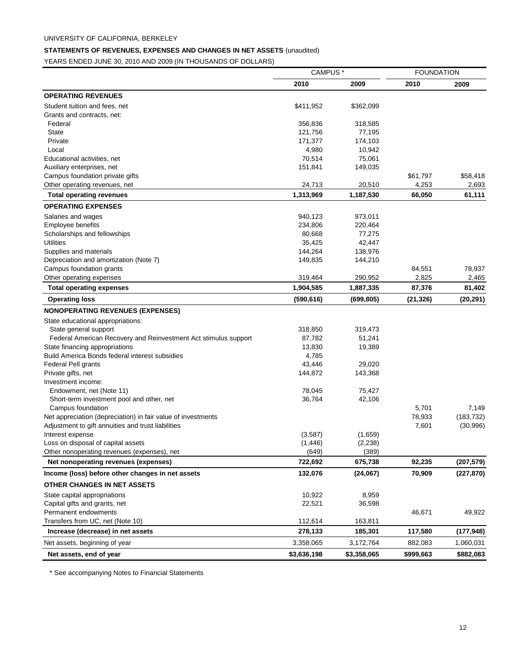# **STATEMENTS OF REVENUES, EXPENSES AND CHANGES IN NET ASSETS** (unaudited)

YEARS ENDED JUNE 30, 2010 AND 2009 (IN THOUSANDS OF DOLLARS)

|                                                                 | CAMPUS <sup>*</sup> |             | <b>FOUNDATION</b> |            |
|-----------------------------------------------------------------|---------------------|-------------|-------------------|------------|
|                                                                 | 2010                | 2009        | 2010              | 2009       |
| <b>OPERATING REVENUES</b>                                       |                     |             |                   |            |
| Student tuition and fees, net                                   | \$411,952           | \$362,099   |                   |            |
| Grants and contracts, net:                                      |                     |             |                   |            |
| Federal                                                         | 356,836             | 318,585     |                   |            |
| State                                                           | 121,756             | 77,195      |                   |            |
| Private                                                         | 171,377             | 174,103     |                   |            |
| Local                                                           | 4,980               | 10,942      |                   |            |
| Educational activities, net                                     | 70,514              | 75,061      |                   |            |
| Auxiliary enterprises, net                                      | 151,841             | 149,035     |                   |            |
| Campus foundation private gifts                                 |                     |             | \$61,797          | \$58,418   |
| Other operating revenues, net                                   | 24,713              | 20,510      | 4,253             | 2,693      |
| <b>Total operating revenues</b>                                 | 1,313,969           | 1,187,530   | 66,050            | 61,111     |
| <b>OPERATING EXPENSES</b>                                       |                     |             |                   |            |
| Salaries and wages                                              | 940,123             | 973,011     |                   |            |
| Employee benefits                                               | 234,806             | 220,464     |                   |            |
| Scholarships and fellowships                                    | 80,668              | 77,275      |                   |            |
| <b>Utilities</b>                                                | 35,425              | 42,447      |                   |            |
| Supplies and materials                                          | 144,264             | 138,976     |                   |            |
| Depreciation and amortization (Note 7)                          | 149,835             | 144,210     |                   |            |
| Campus foundation grants                                        |                     |             | 84,551            | 78,937     |
| Other operating expenses                                        | 319,464             | 290,952     | 2,825             | 2,465      |
| <b>Total operating expenses</b>                                 | 1,904,585           | 1,887,335   | 87,376            | 81,402     |
| <b>Operating loss</b>                                           | (590, 616)          | (699, 805)  | (21, 326)         | (20, 291)  |
| <b>NONOPERATING REVENUES (EXPENSES)</b>                         |                     |             |                   |            |
| State educational appropriations:                               |                     |             |                   |            |
| State general support                                           | 318,850             | 319,473     |                   |            |
| Federal American Recovery and Reinvestment Act stimulus support | 87,782              | 51,241      |                   |            |
| State financing appropriations                                  | 13,830              | 19,389      |                   |            |
| Build America Bonds federal interest subsidies                  | 4,785               |             |                   |            |
| Federal Pell grants                                             | 43,446              | 29,020      |                   |            |
| Private gifts, net                                              | 144,872             | 143,368     |                   |            |
| Investment income:                                              |                     |             |                   |            |
| Endowment, net (Note 11)                                        | 78,045              | 75,427      |                   |            |
| Short-term investment pool and other, net                       | 36,764              | 42,106      |                   |            |
| Campus foundation                                               |                     |             | 5,701             | 7,149      |
| Net appreciation (depreciation) in fair value of investments    |                     |             | 78,933            | (183, 732) |
| Adjustment to gift annuities and trust liabilities              |                     |             | 7,601             | (30, 996)  |
| Interest expense                                                | (3,587)             | (1,659)     |                   |            |
| Loss on disposal of capital assets                              | (1, 446)            | (2, 238)    |                   |            |
| Other nonoperating revenues (expenses), net                     | (649)               | (389)       |                   |            |
| Net nonoperating revenues (expenses)                            | 722,692             | 675,738     | 92,235            | (207, 579) |
| Income (loss) before other changes in net assets                | 132,076             | (24,067)    | 70,909            | (227, 870) |
| OTHER CHANGES IN NET ASSETS                                     |                     |             |                   |            |
| State capital appropriations                                    | 10,922              | 8,959       |                   |            |
| Capital gifts and grants, net                                   | 22,521              | 36,598      |                   |            |
| Permanent endowments                                            |                     |             | 46,671            | 49,922     |
| Transfers from UC, net (Note 10)                                | 112,614             | 163,811     |                   |            |
| Increase (decrease) in net assets                               | 278,133             | 185,301     | 117,580           | (177, 948) |
| Net assets, beginning of year                                   | 3,358,065           | 3,172,764   | 882,083           | 1,060,031  |
| Net assets, end of year                                         | \$3,636,198         | \$3,358,065 | \$999,663         | \$882,083  |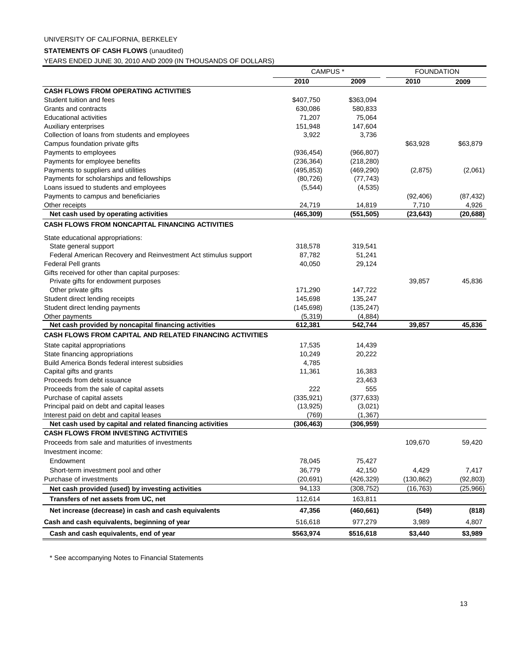#### **STATEMENTS OF CASH FLOWS** (unaudited)

YEARS ENDED JUNE 30, 2010 AND 2009 (IN THOUSANDS OF DOLLARS)

|                                                                 | CAMPUS <sup>*</sup> |            | <b>FOUNDATION</b> |           |
|-----------------------------------------------------------------|---------------------|------------|-------------------|-----------|
|                                                                 | 2010                | 2009       | 2010              | 2009      |
| <b>CASH FLOWS FROM OPERATING ACTIVITIES</b>                     |                     |            |                   |           |
| Student tuition and fees                                        | \$407,750           | \$363,094  |                   |           |
| Grants and contracts                                            | 630,086             | 580,833    |                   |           |
| <b>Educational activities</b>                                   | 71,207              | 75,064     |                   |           |
| Auxiliary enterprises                                           | 151,948             | 147,604    |                   |           |
| Collection of loans from students and employees                 | 3,922               | 3,736      |                   |           |
| Campus foundation private gifts                                 |                     |            | \$63,928          | \$63,879  |
| Payments to employees                                           | (936, 454)          | (966, 807) |                   |           |
| Payments for employee benefits                                  | (236, 364)          | (218, 280) |                   |           |
| Payments to suppliers and utilities                             | (495, 853)          | (469, 290) | (2,875)           | (2,061)   |
| Payments for scholarships and fellowships                       | (80, 726)           | (77, 743)  |                   |           |
| Loans issued to students and employees                          | (5, 544)            | (4, 535)   |                   |           |
| Payments to campus and beneficiaries                            |                     |            | (92, 406)         | (87, 432) |
| Other receipts                                                  | 24,719              | 14,819     | 7,710             | 4,926     |
| Net cash used by operating activities                           | (465, 309)          | (551, 505) | (23, 643)         | (20, 688) |
| <b>CASH FLOWS FROM NONCAPITAL FINANCING ACTIVITIES</b>          |                     |            |                   |           |
| State educational appropriations:                               |                     |            |                   |           |
| State general support                                           | 318,578             | 319,541    |                   |           |
| Federal American Recovery and Reinvestment Act stimulus support | 87,782              | 51,241     |                   |           |
| <b>Federal Pell grants</b>                                      | 40,050              | 29,124     |                   |           |
| Gifts received for other than capital purposes:                 |                     |            |                   |           |
| Private gifts for endowment purposes                            |                     |            | 39,857            | 45,836    |
| Other private gifts                                             | 171,290             | 147,722    |                   |           |
| Student direct lending receipts                                 | 145,698             | 135,247    |                   |           |
| Student direct lending payments                                 | (145, 698)          | (135, 247) |                   |           |
| Other payments                                                  | (5, 319)            | (4,884)    |                   |           |
| Net cash provided by noncapital financing activities            | 612,381             | 542,744    | 39,857            | 45,836    |
| <b>CASH FLOWS FROM CAPITAL AND RELATED FINANCING ACTIVITIES</b> |                     |            |                   |           |
| State capital appropriations                                    | 17,535              | 14,439     |                   |           |
| State financing appropriations                                  | 10,249              | 20,222     |                   |           |
| Build America Bonds federal interest subsidies                  | 4,785               |            |                   |           |
| Capital gifts and grants                                        | 11,361              | 16,383     |                   |           |
| Proceeds from debt issuance                                     |                     | 23,463     |                   |           |
| Proceeds from the sale of capital assets                        | 222                 | 555        |                   |           |
| Purchase of capital assets                                      | (335, 921)          | (377, 633) |                   |           |
| Principal paid on debt and capital leases                       | (13, 925)           | (3,021)    |                   |           |
| Interest paid on debt and capital leases                        | (769)               | (1, 367)   |                   |           |
| Net cash used by capital and related financing activities       | (306, 463)          | (306, 959) |                   |           |
| <b>CASH FLOWS FROM INVESTING ACTIVITIES</b>                     |                     |            |                   |           |
| Proceeds from sale and maturities of investments                |                     |            | 109,670           | 59,420    |
| Investment income:                                              |                     |            |                   |           |
| Endowment                                                       | 78,045              | 75,427     |                   |           |
| Short-term investment pool and other                            | 36,779              | 42,150     | 4,429             | 7,417     |
| Purchase of investments                                         | (20, 691)           | (426, 329) | (130, 862)        | (92, 803) |
| Net cash provided (used) by investing activities                | 94,133              | (308, 752) | (16, 763)         | (25,966)  |
| Transfers of net assets from UC, net                            | 112,614             | 163,811    |                   |           |
| Net increase (decrease) in cash and cash equivalents            | 47,356              | (460, 661) | (549)             | (818)     |
| Cash and cash equivalents, beginning of year                    | 516,618             | 977,279    | 3,989             | 4,807     |
| Cash and cash equivalents, end of year                          | \$563,974           | \$516,618  | \$3,440           | \$3,989   |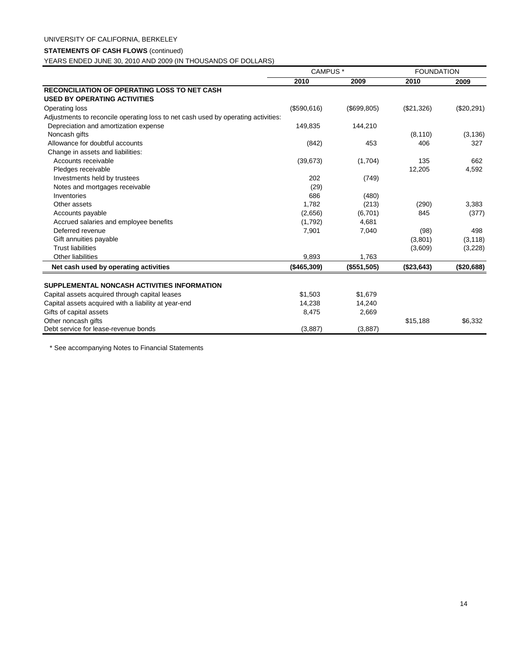# UNIVERSITY OF CALIFORNIA, BERKELEY

#### **STATEMENTS OF CASH FLOWS** (continued)

YEARS ENDED JUNE 30, 2010 AND 2009 (IN THOUSANDS OF DOLLARS)

|                                                                                                                                                                                                                                                 | CAMPUS <sup>*</sup>                   |                                       | <b>FOUNDATION</b> |            |
|-------------------------------------------------------------------------------------------------------------------------------------------------------------------------------------------------------------------------------------------------|---------------------------------------|---------------------------------------|-------------------|------------|
|                                                                                                                                                                                                                                                 | 2010                                  | 2009                                  | 2010              | 2009       |
| <b>RECONCILIATION OF OPERATING LOSS TO NET CASH</b>                                                                                                                                                                                             |                                       |                                       |                   |            |
| <b>USED BY OPERATING ACTIVITIES</b>                                                                                                                                                                                                             |                                       |                                       |                   |            |
| <b>Operating loss</b>                                                                                                                                                                                                                           | (\$590,616)                           | (\$699, 805)                          | (\$21,326)        | (\$20,291) |
| Adjustments to reconcile operating loss to net cash used by operating activities:                                                                                                                                                               |                                       |                                       |                   |            |
| Depreciation and amortization expense                                                                                                                                                                                                           | 149,835                               | 144,210                               |                   |            |
| Noncash gifts                                                                                                                                                                                                                                   |                                       |                                       | (8, 110)          | (3, 136)   |
| Allowance for doubtful accounts                                                                                                                                                                                                                 | (842)                                 | 453                                   | 406               | 327        |
| Change in assets and liabilities:                                                                                                                                                                                                               |                                       |                                       |                   |            |
| Accounts receivable                                                                                                                                                                                                                             | (39, 673)                             | (1,704)                               | 135               | 662        |
| Pledges receivable                                                                                                                                                                                                                              |                                       |                                       | 12,205            | 4,592      |
| Investments held by trustees                                                                                                                                                                                                                    | 202                                   | (749)                                 |                   |            |
| Notes and mortgages receivable                                                                                                                                                                                                                  | (29)                                  |                                       |                   |            |
| Inventories                                                                                                                                                                                                                                     | 686                                   | (480)                                 |                   |            |
| Other assets                                                                                                                                                                                                                                    | 1,782                                 | (213)                                 | (290)             | 3,383      |
| Accounts payable                                                                                                                                                                                                                                | (2,656)                               | (6,701)                               | 845               | (377)      |
| Accrued salaries and employee benefits                                                                                                                                                                                                          | (1,792)                               | 4,681                                 |                   |            |
| Deferred revenue                                                                                                                                                                                                                                | 7,901                                 | 7,040                                 | (98)              | 498        |
| Gift annuities payable                                                                                                                                                                                                                          |                                       |                                       | (3,801)           | (3, 118)   |
| <b>Trust liabilities</b>                                                                                                                                                                                                                        |                                       |                                       | (3,609)           | (3,228)    |
| <b>Other liabilities</b>                                                                                                                                                                                                                        | 9,893                                 | 1,763                                 |                   |            |
| Net cash used by operating activities                                                                                                                                                                                                           | (\$465,309)                           | (\$551,505)                           | (\$23,643)        | (\$20,688) |
|                                                                                                                                                                                                                                                 |                                       |                                       |                   |            |
|                                                                                                                                                                                                                                                 |                                       |                                       |                   |            |
|                                                                                                                                                                                                                                                 |                                       |                                       |                   |            |
|                                                                                                                                                                                                                                                 |                                       |                                       |                   |            |
|                                                                                                                                                                                                                                                 |                                       |                                       |                   |            |
|                                                                                                                                                                                                                                                 |                                       |                                       |                   |            |
| SUPPLEMENTAL NONCASH ACTIVITIES INFORMATION<br>Capital assets acquired through capital leases<br>Capital assets acquired with a liability at year-end<br>Gifts of capital assets<br>Other noncash gifts<br>Debt service for lease-revenue bonds | \$1,503<br>14,238<br>8,475<br>(3,887) | \$1,679<br>14,240<br>2,669<br>(3,887) | \$15,188          | \$6,332    |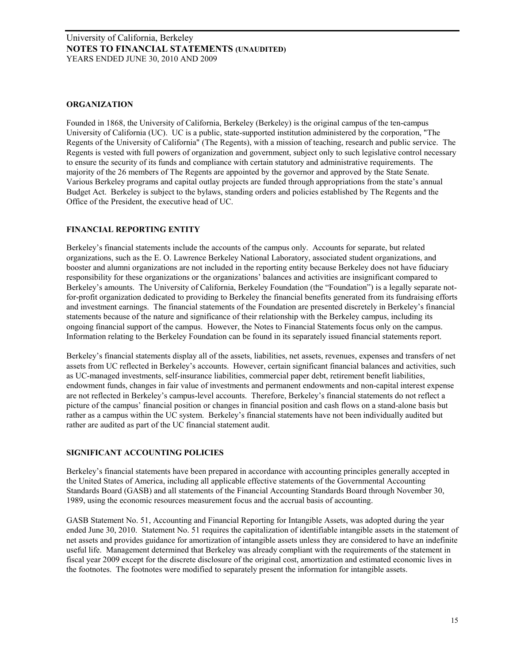#### **ORGANIZATION**

Founded in 1868, the University of California, Berkeley (Berkeley) is the original campus of the ten-campus University of California (UC). UC is a public, state-supported institution administered by the corporation, "The Regents of the University of California" (The Regents), with a mission of teaching, research and public service. The Regents is vested with full powers of organization and government, subject only to such legislative control necessary to ensure the security of its funds and compliance with certain statutory and administrative requirements. The majority of the 26 members of The Regents are appointed by the governor and approved by the State Senate. Various Berkeley programs and capital outlay projects are funded through appropriations from the state's annual Budget Act. Berkeley is subject to the bylaws, standing orders and policies established by The Regents and the Office of the President, the executive head of UC.

## **FINANCIAL REPORTING ENTITY**

Berkeley's financial statements include the accounts of the campus only. Accounts for separate, but related organizations, such as the E. O. Lawrence Berkeley National Laboratory, associated student organizations, and booster and alumni organizations are not included in the reporting entity because Berkeley does not have fiduciary responsibility for these organizations or the organizations' balances and activities are insignificant compared to Berkeley's amounts. The University of California, Berkeley Foundation (the "Foundation") is a legally separate notfor-profit organization dedicated to providing to Berkeley the financial benefits generated from its fundraising efforts and investment earnings. The financial statements of the Foundation are presented discretely in Berkeley's financial statements because of the nature and significance of their relationship with the Berkeley campus, including its ongoing financial support of the campus. However, the Notes to Financial Statements focus only on the campus. Information relating to the Berkeley Foundation can be found in its separately issued financial statements report.

Berkeley's financial statements display all of the assets, liabilities, net assets, revenues, expenses and transfers of net assets from UC reflected in Berkeley's accounts. However, certain significant financial balances and activities, such as UC-managed investments, self-insurance liabilities, commercial paper debt, retirement benefit liabilities, endowment funds, changes in fair value of investments and permanent endowments and non-capital interest expense are not reflected in Berkeley's campus-level accounts. Therefore, Berkeley's financial statements do not reflect a picture of the campus' financial position or changes in financial position and cash flows on a stand-alone basis but rather as a campus within the UC system. Berkeley's financial statements have not been individually audited but rather are audited as part of the UC financial statement audit.

## **SIGNIFICANT ACCOUNTING POLICIES**

Berkeley's financial statements have been prepared in accordance with accounting principles generally accepted in the United States of America, including all applicable effective statements of the Governmental Accounting Standards Board (GASB) and all statements of the Financial Accounting Standards Board through November 30, 1989, using the economic resources measurement focus and the accrual basis of accounting.

GASB Statement No. 51, Accounting and Financial Reporting for Intangible Assets, was adopted during the year ended June 30, 2010. Statement No. 51 requires the capitalization of identifiable intangible assets in the statement of net assets and provides guidance for amortization of intangible assets unless they are considered to have an indefinite useful life. Management determined that Berkeley was already compliant with the requirements of the statement in fiscal year 2009 except for the discrete disclosure of the original cost, amortization and estimated economic lives in the footnotes. The footnotes were modified to separately present the information for intangible assets.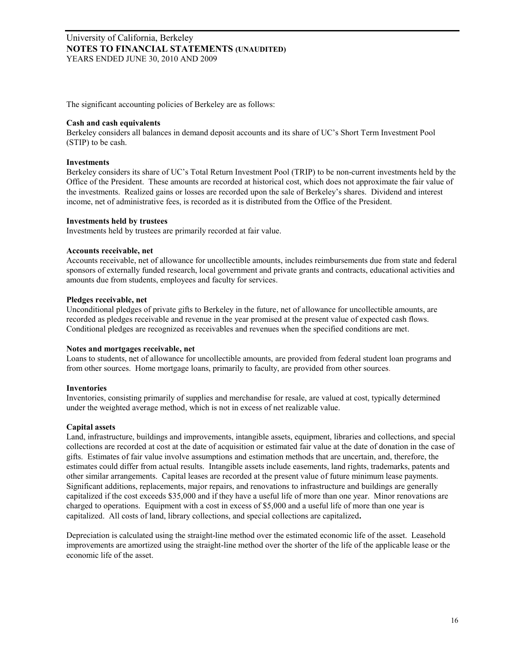The significant accounting policies of Berkeley are as follows:

#### **Cash and cash equivalents**

Berkeley considers all balances in demand deposit accounts and its share of UC's Short Term Investment Pool (STIP) to be cash.

#### **Investments**

Berkeley considers its share of UC's Total Return Investment Pool (TRIP) to be non-current investments held by the Office of the President. These amounts are recorded at historical cost, which does not approximate the fair value of the investments. Realized gains or losses are recorded upon the sale of Berkeley's shares. Dividend and interest income, net of administrative fees, is recorded as it is distributed from the Office of the President.

#### **Investments held by trustees**

Investments held by trustees are primarily recorded at fair value.

#### **Accounts receivable, net**

Accounts receivable, net of allowance for uncollectible amounts, includes reimbursements due from state and federal sponsors of externally funded research, local government and private grants and contracts, educational activities and amounts due from students, employees and faculty for services.

#### **Pledges receivable, net**

Unconditional pledges of private gifts to Berkeley in the future, net of allowance for uncollectible amounts, are recorded as pledges receivable and revenue in the year promised at the present value of expected cash flows. Conditional pledges are recognized as receivables and revenues when the specified conditions are met.

#### **Notes and mortgages receivable, net**

Loans to students, net of allowance for uncollectible amounts, are provided from federal student loan programs and from other sources. Home mortgage loans, primarily to faculty, are provided from other sources.

## **Inventories**

Inventories, consisting primarily of supplies and merchandise for resale, are valued at cost, typically determined under the weighted average method, which is not in excess of net realizable value.

## **Capital assets**

Land, infrastructure, buildings and improvements, intangible assets, equipment, libraries and collections, and special collections are recorded at cost at the date of acquisition or estimated fair value at the date of donation in the case of gifts. Estimates of fair value involve assumptions and estimation methods that are uncertain, and, therefore, the estimates could differ from actual results. Intangible assets include easements, land rights, trademarks, patents and other similar arrangements. Capital leases are recorded at the present value of future minimum lease payments. Significant additions, replacements, major repairs, and renovations to infrastructure and buildings are generally capitalized if the cost exceeds \$35,000 and if they have a useful life of more than one year. Minor renovations are charged to operations. Equipment with a cost in excess of \$5,000 and a useful life of more than one year is capitalized. All costs of land, library collections, and special collections are capitalized**.** 

Depreciation is calculated using the straight-line method over the estimated economic life of the asset. Leasehold improvements are amortized using the straight-line method over the shorter of the life of the applicable lease or the economic life of the asset.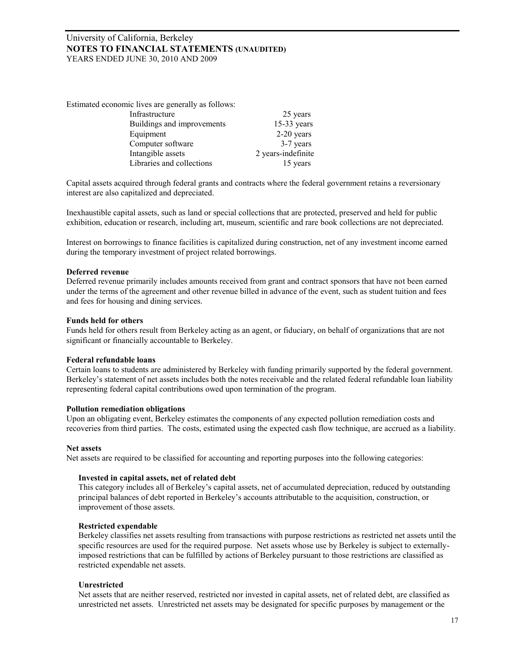Estimated economic lives are generally as follows:

| Infrastructure             | 25 years           |
|----------------------------|--------------------|
| Buildings and improvements | $15-33$ years      |
| Equipment                  | $2-20$ years       |
| Computer software          | 3-7 years          |
| Intangible assets          | 2 years-indefinite |
| Libraries and collections  | 15 years           |
|                            |                    |

Capital assets acquired through federal grants and contracts where the federal government retains a reversionary interest are also capitalized and depreciated.

Inexhaustible capital assets, such as land or special collections that are protected, preserved and held for public exhibition, education or research, including art, museum, scientific and rare book collections are not depreciated.

Interest on borrowings to finance facilities is capitalized during construction, net of any investment income earned during the temporary investment of project related borrowings.

#### **Deferred revenue**

Deferred revenue primarily includes amounts received from grant and contract sponsors that have not been earned under the terms of the agreement and other revenue billed in advance of the event, such as student tuition and fees and fees for housing and dining services.

#### **Funds held for others**

Funds held for others result from Berkeley acting as an agent, or fiduciary, on behalf of organizations that are not significant or financially accountable to Berkeley.

#### **Federal refundable loans**

Certain loans to students are administered by Berkeley with funding primarily supported by the federal government. Berkeley's statement of net assets includes both the notes receivable and the related federal refundable loan liability representing federal capital contributions owed upon termination of the program.

#### **Pollution remediation obligations**

Upon an obligating event, Berkeley estimates the components of any expected pollution remediation costs and recoveries from third parties. The costs, estimated using the expected cash flow technique, are accrued as a liability.

#### **Net assets**

Net assets are required to be classified for accounting and reporting purposes into the following categories:

#### **Invested in capital assets, net of related debt**

This category includes all of Berkeley's capital assets, net of accumulated depreciation, reduced by outstanding principal balances of debt reported in Berkeley's accounts attributable to the acquisition, construction, or improvement of those assets.

#### **Restricted expendable**

Berkeley classifies net assets resulting from transactions with purpose restrictions as restricted net assets until the specific resources are used for the required purpose. Net assets whose use by Berkeley is subject to externallyimposed restrictions that can be fulfilled by actions of Berkeley pursuant to those restrictions are classified as restricted expendable net assets.

#### **Unrestricted**

Net assets that are neither reserved, restricted nor invested in capital assets, net of related debt, are classified as unrestricted net assets. Unrestricted net assets may be designated for specific purposes by management or the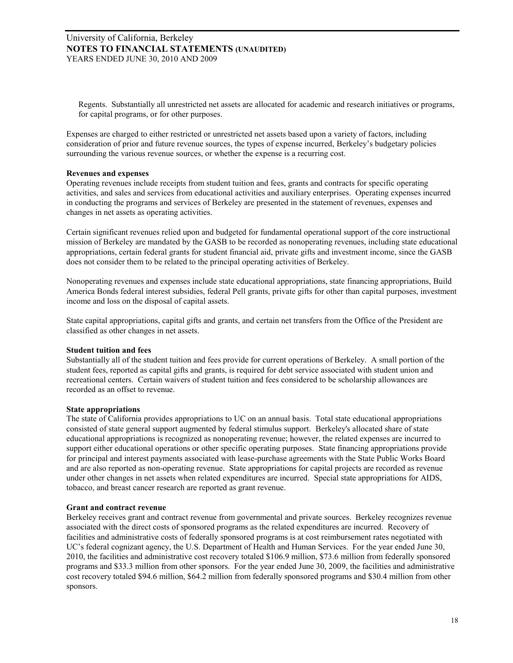Regents. Substantially all unrestricted net assets are allocated for academic and research initiatives or programs, for capital programs, or for other purposes.

Expenses are charged to either restricted or unrestricted net assets based upon a variety of factors, including consideration of prior and future revenue sources, the types of expense incurred, Berkeley's budgetary policies surrounding the various revenue sources, or whether the expense is a recurring cost.

#### **Revenues and expenses**

Operating revenues include receipts from student tuition and fees, grants and contracts for specific operating activities, and sales and services from educational activities and auxiliary enterprises. Operating expenses incurred in conducting the programs and services of Berkeley are presented in the statement of revenues, expenses and changes in net assets as operating activities.

Certain significant revenues relied upon and budgeted for fundamental operational support of the core instructional mission of Berkeley are mandated by the GASB to be recorded as nonoperating revenues, including state educational appropriations, certain federal grants for student financial aid, private gifts and investment income, since the GASB does not consider them to be related to the principal operating activities of Berkeley.

Nonoperating revenues and expenses include state educational appropriations, state financing appropriations, Build America Bonds federal interest subsidies, federal Pell grants, private gifts for other than capital purposes, investment income and loss on the disposal of capital assets.

State capital appropriations, capital gifts and grants, and certain net transfers from the Office of the President are classified as other changes in net assets.

## **Student tuition and fees**

Substantially all of the student tuition and fees provide for current operations of Berkeley. A small portion of the student fees, reported as capital gifts and grants, is required for debt service associated with student union and recreational centers. Certain waivers of student tuition and fees considered to be scholarship allowances are recorded as an offset to revenue.

## **State appropriations**

The state of California provides appropriations to UC on an annual basis. Total state educational appropriations consisted of state general support augmented by federal stimulus support. Berkeley's allocated share of state educational appropriations is recognized as nonoperating revenue; however, the related expenses are incurred to support either educational operations or other specific operating purposes. State financing appropriations provide for principal and interest payments associated with lease-purchase agreements with the State Public Works Board and are also reported as non-operating revenue. State appropriations for capital projects are recorded as revenue under other changes in net assets when related expenditures are incurred. Special state appropriations for AIDS, tobacco, and breast cancer research are reported as grant revenue.

#### **Grant and contract revenue**

Berkeley receives grant and contract revenue from governmental and private sources. Berkeley recognizes revenue associated with the direct costs of sponsored programs as the related expenditures are incurred. Recovery of facilities and administrative costs of federally sponsored programs is at cost reimbursement rates negotiated with UC's federal cognizant agency, the U.S. Department of Health and Human Services. For the year ended June 30, 2010, the facilities and administrative cost recovery totaled \$106.9 million, \$73.6 million from federally sponsored programs and \$33.3 million from other sponsors. For the year ended June 30, 2009, the facilities and administrative cost recovery totaled \$94.6 million, \$64.2 million from federally sponsored programs and \$30.4 million from other sponsors.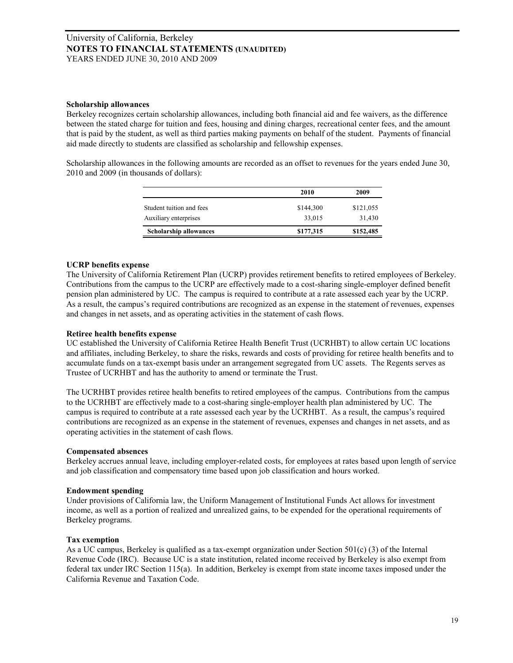#### **Scholarship allowances**

Berkeley recognizes certain scholarship allowances, including both financial aid and fee waivers, as the difference between the stated charge for tuition and fees, housing and dining charges, recreational center fees, and the amount that is paid by the student, as well as third parties making payments on behalf of the student. Payments of financial aid made directly to students are classified as scholarship and fellowship expenses.

Scholarship allowances in the following amounts are recorded as an offset to revenues for the years ended June 30, 2010 and 2009 (in thousands of dollars):

|                               | 2010      | 2009      |
|-------------------------------|-----------|-----------|
| Student tuition and fees      | \$144,300 | \$121,055 |
| Auxiliary enterprises         | 33,015    | 31,430    |
| <b>Scholarship allowances</b> | \$177,315 | \$152,485 |
|                               |           |           |

## **UCRP benefits expense**

The University of California Retirement Plan (UCRP) provides retirement benefits to retired employees of Berkeley. Contributions from the campus to the UCRP are effectively made to a cost-sharing single-employer defined benefit pension plan administered by UC. The campus is required to contribute at a rate assessed each year by the UCRP. As a result, the campus's required contributions are recognized as an expense in the statement of revenues, expenses and changes in net assets, and as operating activities in the statement of cash flows.

#### **Retiree health benefits expense**

UC established the University of California Retiree Health Benefit Trust (UCRHBT) to allow certain UC locations and affiliates, including Berkeley, to share the risks, rewards and costs of providing for retiree health benefits and to accumulate funds on a tax-exempt basis under an arrangement segregated from UC assets. The Regents serves as Trustee of UCRHBT and has the authority to amend or terminate the Trust.

The UCRHBT provides retiree health benefits to retired employees of the campus. Contributions from the campus to the UCRHBT are effectively made to a cost-sharing single-employer health plan administered by UC. The campus is required to contribute at a rate assessed each year by the UCRHBT. As a result, the campus's required contributions are recognized as an expense in the statement of revenues, expenses and changes in net assets, and as operating activities in the statement of cash flows.

## **Compensated absences**

Berkeley accrues annual leave, including employer-related costs, for employees at rates based upon length of service and job classification and compensatory time based upon job classification and hours worked.

#### **Endowment spending**

Under provisions of California law, the Uniform Management of Institutional Funds Act allows for investment income, as well as a portion of realized and unrealized gains, to be expended for the operational requirements of Berkeley programs.

## **Tax exemption**

As a UC campus, Berkeley is qualified as a tax-exempt organization under Section 501(c) (3) of the Internal Revenue Code (IRC). Because UC is a state institution, related income received by Berkeley is also exempt from federal tax under IRC Section 115(a). In addition, Berkeley is exempt from state income taxes imposed under the California Revenue and Taxation Code.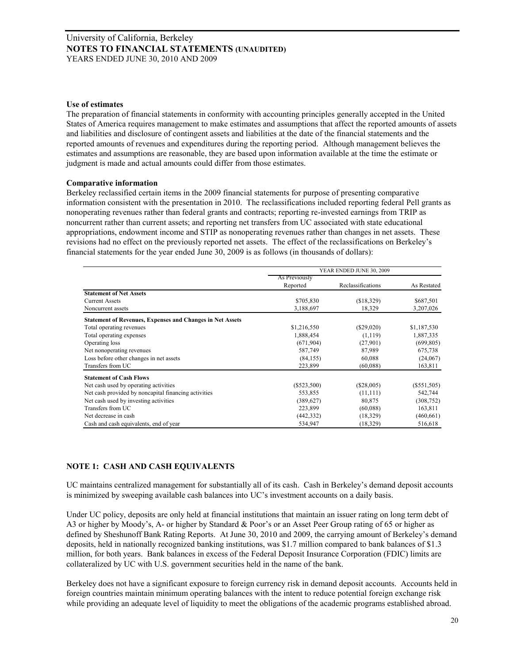#### **Use of estimates**

The preparation of financial statements in conformity with accounting principles generally accepted in the United States of America requires management to make estimates and assumptions that affect the reported amounts of assets and liabilities and disclosure of contingent assets and liabilities at the date of the financial statements and the reported amounts of revenues and expenditures during the reporting period. Although management believes the estimates and assumptions are reasonable, they are based upon information available at the time the estimate or judgment is made and actual amounts could differ from those estimates.

#### **Comparative information**

Berkeley reclassified certain items in the 2009 financial statements for purpose of presenting comparative information consistent with the presentation in 2010. The reclassifications included reporting federal Pell grants as nonoperating revenues rather than federal grants and contracts; reporting re-invested earnings from TRIP as noncurrent rather than current assets; and reporting net transfers from UC associated with state educational appropriations, endowment income and STIP as nonoperating revenues rather than changes in net assets. These revisions had no effect on the previously reported net assets. The effect of the reclassifications on Berkeley's financial statements for the year ended June 30, 2009 is as follows (in thousands of dollars):

|                                                                  |               | YEAR ENDED JUNE 30, 2009 |               |
|------------------------------------------------------------------|---------------|--------------------------|---------------|
|                                                                  | As Previously |                          |               |
|                                                                  | Reported      | Reclassifications        | As Restated   |
| <b>Statement of Net Assets</b>                                   |               |                          |               |
| <b>Current Assets</b>                                            | \$705,830     | (\$18,329)               | \$687,501     |
| Noncurrent assets                                                | 3,188,697     | 18,329                   | 3,207,026     |
| <b>Statement of Revenues, Expenses and Changes in Net Assets</b> |               |                          |               |
| Total operating revenues                                         | \$1,216,550   | $(\$29,020)$             | \$1,187,530   |
| Total operating expenses                                         | 1,888,454     | (1,119)                  | 1,887,335     |
| Operating loss                                                   | (671, 904)    | (27,901)                 | (699, 805)    |
| Net nonoperating revenues                                        | 587,749       | 87,989                   | 675,738       |
| Loss before other changes in net assets                          | (84, 155)     | 60,088                   | (24,067)      |
| Transfers from UC                                                | 223,899       | (60,088)                 | 163,811       |
| <b>Statement of Cash Flows</b>                                   |               |                          |               |
| Net cash used by operating activities                            | $(\$523,500)$ | $(\$28,005)$             | $(\$551,505)$ |
| Net cash provided by noncapital financing activities             | 553,855       | (11, 111)                | 542,744       |
| Net cash used by investing activities                            | (389, 627)    | 80,875                   | (308, 752)    |
| Transfers from UC                                                | 223,899       | (60,088)                 | 163,811       |
| Net decrease in cash                                             | (442, 332)    | (18,329)                 | (460, 661)    |
| Cash and cash equivalents, end of year                           | 534,947       | (18,329)                 | 516,618       |

## **NOTE 1: CASH AND CASH EQUIVALENTS**

UC maintains centralized management for substantially all of its cash. Cash in Berkeley's demand deposit accounts is minimized by sweeping available cash balances into UC's investment accounts on a daily basis.

Under UC policy, deposits are only held at financial institutions that maintain an issuer rating on long term debt of A3 or higher by Moody's, A- or higher by Standard & Poor's or an Asset Peer Group rating of 65 or higher as defined by Sheshunoff Bank Rating Reports. At June 30, 2010 and 2009, the carrying amount of Berkeley's demand deposits, held in nationally recognized banking institutions, was \$1.7 million compared to bank balances of \$1.3 million, for both years. Bank balances in excess of the Federal Deposit Insurance Corporation (FDIC) limits are collateralized by UC with U.S. government securities held in the name of the bank.

Berkeley does not have a significant exposure to foreign currency risk in demand deposit accounts. Accounts held in foreign countries maintain minimum operating balances with the intent to reduce potential foreign exchange risk while providing an adequate level of liquidity to meet the obligations of the academic programs established abroad.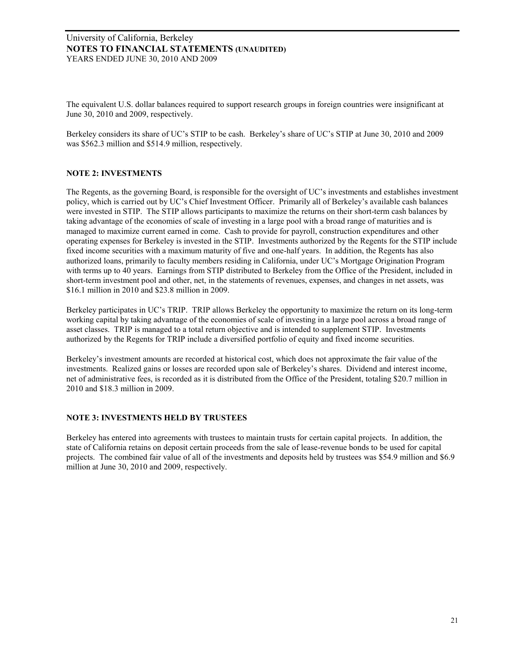The equivalent U.S. dollar balances required to support research groups in foreign countries were insignificant at June 30, 2010 and 2009, respectively.

Berkeley considers its share of UC's STIP to be cash. Berkeley's share of UC's STIP at June 30, 2010 and 2009 was \$562.3 million and \$514.9 million, respectively.

## **NOTE 2: INVESTMENTS**

The Regents, as the governing Board, is responsible for the oversight of UC's investments and establishes investment policy, which is carried out by UC's Chief Investment Officer. Primarily all of Berkeley's available cash balances were invested in STIP. The STIP allows participants to maximize the returns on their short-term cash balances by taking advantage of the economies of scale of investing in a large pool with a broad range of maturities and is managed to maximize current earned in come. Cash to provide for payroll, construction expenditures and other operating expenses for Berkeley is invested in the STIP. Investments authorized by the Regents for the STIP include fixed income securities with a maximum maturity of five and one-half years. In addition, the Regents has also authorized loans, primarily to faculty members residing in California, under UC's Mortgage Origination Program with terms up to 40 years. Earnings from STIP distributed to Berkeley from the Office of the President, included in short-term investment pool and other, net, in the statements of revenues, expenses, and changes in net assets, was \$16.1 million in 2010 and \$23.8 million in 2009.

Berkeley participates in UC's TRIP. TRIP allows Berkeley the opportunity to maximize the return on its long-term working capital by taking advantage of the economies of scale of investing in a large pool across a broad range of asset classes. TRIP is managed to a total return objective and is intended to supplement STIP. Investments authorized by the Regents for TRIP include a diversified portfolio of equity and fixed income securities.

Berkeley's investment amounts are recorded at historical cost, which does not approximate the fair value of the investments. Realized gains or losses are recorded upon sale of Berkeley's shares. Dividend and interest income, net of administrative fees, is recorded as it is distributed from the Office of the President, totaling \$20.7 million in 2010 and \$18.3 million in 2009.

## **NOTE 3: INVESTMENTS HELD BY TRUSTEES**

Berkeley has entered into agreements with trustees to maintain trusts for certain capital projects. In addition, the state of California retains on deposit certain proceeds from the sale of lease-revenue bonds to be used for capital projects. The combined fair value of all of the investments and deposits held by trustees was \$54.9 million and \$6.9 million at June 30, 2010 and 2009, respectively.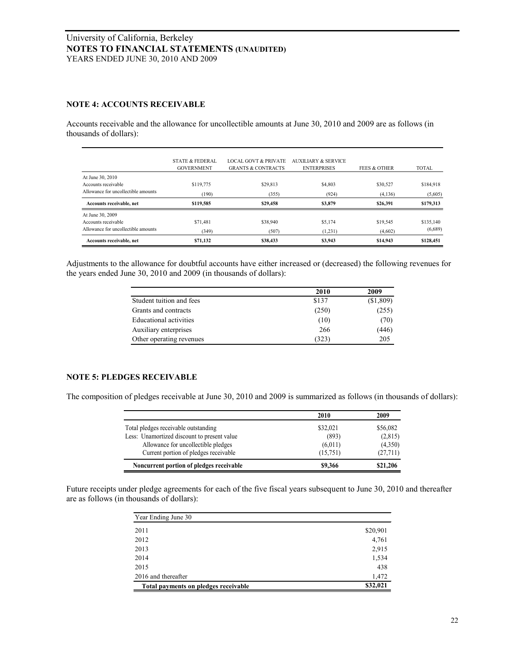#### **NOTE 4: ACCOUNTS RECEIVABLE**

Accounts receivable and the allowance for uncollectible amounts at June 30, 2010 and 2009 are as follows (in thousands of dollars):

| Accounts receivable, net                | \$71,132                                        | \$38,433                                                         | \$3,943                                   | \$14,943                | \$128,451    |
|-----------------------------------------|-------------------------------------------------|------------------------------------------------------------------|-------------------------------------------|-------------------------|--------------|
| Allowance for uncollectible amounts     | (349)                                           | (507)                                                            | (1,231)                                   | (4,602)                 | (6,689)      |
| At June 30, 2009<br>Accounts receivable | \$71,481                                        | \$38,940                                                         | \$5,174                                   | \$19,545                | \$135,140    |
| Accounts receivable, net                | \$119.585                                       | \$29,458                                                         | \$3,879                                   | \$26.391                | \$179,313    |
| Allowance for uncollectible amounts     | (190)                                           | (355)                                                            | (924)                                     | (4,136)                 | (5,605)      |
| At June 30, 2010<br>Accounts receivable | \$119,775                                       | \$29,813                                                         | \$4,803                                   | \$30,527                | \$184,918    |
|                                         | <b>STATE &amp; FEDERAL</b><br><b>GOVERNMENT</b> | <b>LOCAL GOVT &amp; PRIVATE</b><br><b>GRANTS &amp; CONTRACTS</b> | AUXILIARY & SERVICE<br><b>ENTERPRISES</b> | <b>FEES &amp; OTHER</b> | <b>TOTAL</b> |

Adjustments to the allowance for doubtful accounts have either increased or (decreased) the following revenues for the years ended June 30, 2010 and 2009 (in thousands of dollars):

|                               | 2010  | 2009      |
|-------------------------------|-------|-----------|
| Student tuition and fees      | \$137 | (\$1,809) |
| Grants and contracts          | (250) | (255)     |
| <b>Educational activities</b> | (10)  | (70)      |
| Auxiliary enterprises         | 266   | (446)     |
| Other operating revenues      | (323) | 205       |

#### **NOTE 5: PLEDGES RECEIVABLE**

The composition of pledges receivable at June 30, 2010 and 2009 is summarized as follows (in thousands of dollars):

|                                             | 2010     | 2009     |
|---------------------------------------------|----------|----------|
| Total pledges receivable outstanding        | \$32,021 | \$56,082 |
| Less: Unamortized discount to present value | (893)    | (2,815)  |
| Allowance for uncollectible pledges         | (6,011)  | (4,350)  |
| Current portion of pledges receivable       | (15,751) | (27,711) |
| Noncurrent portion of pledges receivable    | \$9,366  | \$21,206 |

Future receipts under pledge agreements for each of the five fiscal years subsequent to June 30, 2010 and thereafter are as follows (in thousands of dollars):

| Year Ending June 30                  |          |
|--------------------------------------|----------|
| 2011                                 | \$20,901 |
| 2012                                 | 4,761    |
| 2013                                 | 2,915    |
| 2014                                 | 1,534    |
| 2015                                 | 438      |
| 2016 and thereafter                  | 1,472    |
| Total payments on pledges receivable | \$32,021 |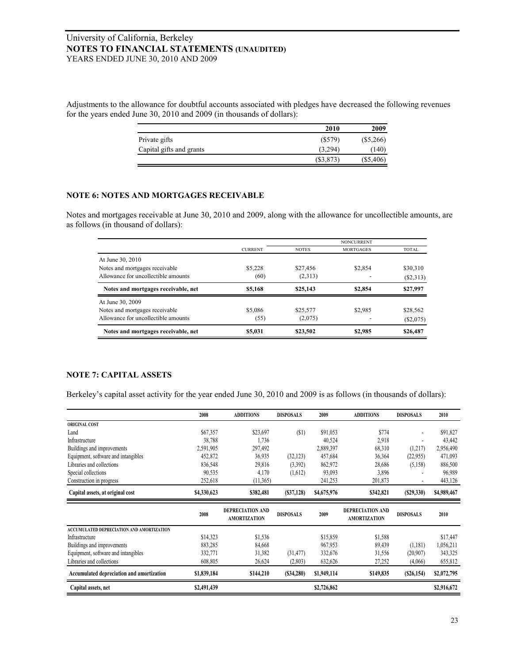Adjustments to the allowance for doubtful accounts associated with pledges have decreased the following revenues for the years ended June 30, 2010 and 2009 (in thousands of dollars):

|                          | 2010      | 2009        |
|--------------------------|-----------|-------------|
| Private gifts            | (S579)    | $(\$5,266)$ |
| Capital gifts and grants | (3.294)   | (140)       |
|                          | (S3, 873) | $(\$5,406)$ |

# **NOTE 6: NOTES AND MORTGAGES RECEIVABLE**

Notes and mortgages receivable at June 30, 2010 and 2009, along with the allowance for uncollectible amounts, are as follows (in thousand of dollars):

|                                     |                |              | <b>NONCURRENT</b> |              |
|-------------------------------------|----------------|--------------|-------------------|--------------|
|                                     | <b>CURRENT</b> | <b>NOTES</b> | <b>MORTGAGES</b>  | <b>TOTAL</b> |
| At June 30, 2010                    |                |              |                   |              |
| Notes and mortgages receivable      | \$5,228        | \$27,456     | \$2,854           | \$30,310     |
| Allowance for uncollectible amounts | (60)           | (2,313)      |                   | (S2,313)     |
| Notes and mortgages receivable, net | \$5,168        | \$25,143     | \$2,854           | \$27,997     |
| At June 30, 2009                    |                |              |                   |              |
| Notes and mortgages receivable      | \$5,086        | \$25,577     | \$2.985           | \$28,562     |
| Allowance for uncollectible amounts | (55)           | (2,075)      |                   | $(\$2,075)$  |
| Notes and mortgages receivable, net | \$5,031        | \$23.502     | \$2.985           | \$26,487     |

#### **NOTE 7: CAPITAL ASSETS**

|                                                  | 2008        | <b>ADDITIONS</b>                               | <b>DISPOSALS</b> | 2009        | <b>ADDITIONS</b>                               | <b>DISPOSALS</b> | 2010        |
|--------------------------------------------------|-------------|------------------------------------------------|------------------|-------------|------------------------------------------------|------------------|-------------|
| <b>ORIGINAL COST</b>                             |             |                                                |                  |             |                                                |                  |             |
| Land                                             | \$67,357    | \$23,697                                       | $(\$1)$          | \$91,053    | \$774                                          |                  | \$91,827    |
| Infrastructure                                   | 38,788      | 1,736                                          |                  | 40,524      | 2,918                                          |                  | 43,442      |
| Buildings and improvements                       | 2,591,905   | 297,492                                        |                  | 2,889,397   | 68,310                                         | (1,217)          | 2,956,490   |
| Equipment, software and intangibles              | 452,872     | 36,935                                         | (32, 123)        | 457,684     | 36,364                                         | (22, 955)        | 471,093     |
| Libraries and collections                        | 836,548     | 29,816                                         | (3,392)          | 862,972     | 28,686                                         | (5,158)          | 886,500     |
| Special collections                              | 90,535      | 4,170                                          | (1,612)          | 93,093      | 3,896                                          |                  | 96,989      |
| Construction in progress                         | 252,618     | (11,365)                                       |                  | 241,253     | 201,873                                        |                  | 443,126     |
| Capital assets, at original cost                 | \$4,330,623 | \$382,481                                      | (S37, 128)       | \$4,675,976 | \$342,821                                      | (S29, 330)       | \$4,989,467 |
|                                                  | 2008        | <b>DEPRECIATION AND</b><br><b>AMORTIZATION</b> | <b>DISPOSALS</b> | 2009        | <b>DEPRECIATION AND</b><br><b>AMORTIZATION</b> | <b>DISPOSALS</b> | 2010        |
| <b>ACCUMULATED DEPRECIATION AND AMORTIZATION</b> |             |                                                |                  |             |                                                |                  |             |
| Infrastructure                                   | \$14,323    | \$1,536                                        |                  | \$15,859    | \$1,588                                        |                  | \$17,447    |
| Buildings and improvements                       | 883,285     | 84,668                                         |                  | 967,953     | 89,439                                         | (1,181)          | 1,056,211   |
| Equipment, software and intangibles              | 332,771     | 31,382                                         | (31, 477)        | 332,676     | 31,556                                         | (20,907)         | 343,325     |
| Libraries and collections                        | 608,805     | 26,624                                         | (2,803)          | 632,626     | 27,252                                         | (4,066)          | 655,812     |
| Accumulated depreciation and amortization        | \$1,839,184 | \$144,210                                      | (S34, 280)       | \$1,949,114 | \$149,835                                      | (S26, 154)       | \$2,072,795 |
|                                                  |             |                                                |                  |             |                                                |                  |             |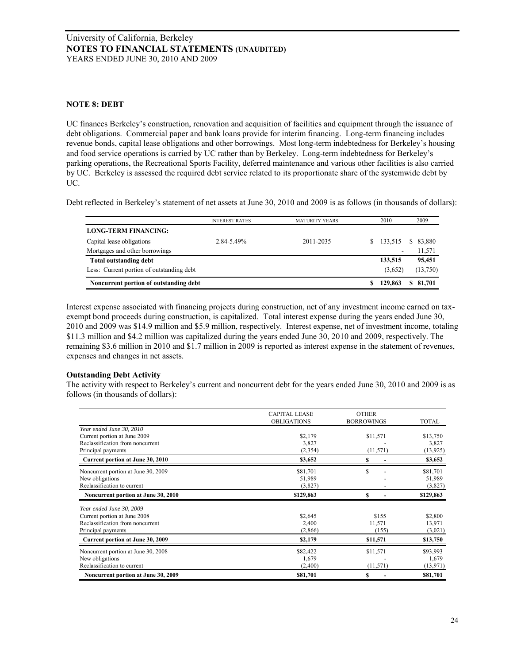#### **NOTE 8: DEBT**

UC finances Berkeley's construction, renovation and acquisition of facilities and equipment through the issuance of debt obligations. Commercial paper and bank loans provide for interim financing. Long-term financing includes revenue bonds, capital lease obligations and other borrowings. Most long-term indebtedness for Berkeley's housing and food service operations is carried by UC rather than by Berkeley. Long-term indebtedness for Berkeley's parking operations, the Recreational Sports Facility, deferred maintenance and various other facilities is also carried by UC. Berkeley is assessed the required debt service related to its proportionate share of the systemwide debt by UC.

|                                           | <b>INTEREST RATES</b> | <b>MATURITY YEARS</b> | 2010    | 2009         |
|-------------------------------------------|-----------------------|-----------------------|---------|--------------|
| <b>LONG-TERM FINANCING:</b>               |                       |                       |         |              |
| Capital lease obligations                 | 2.84-5.49%            | 2011-2035             | 133.515 | 83,880<br>S. |
| Mortgages and other borrowings            |                       |                       |         | 11,571       |
| Total outstanding debt                    |                       |                       | 133,515 | 95,451       |
| Less: Current portion of outstanding debt |                       |                       | (3,652) | (13,750)     |

Interest expense associated with financing projects during construction, net of any investment income earned on taxexempt bond proceeds during construction, is capitalized. Total interest expense during the years ended June 30, 2010 and 2009 was \$14.9 million and \$5.9 million, respectively. Interest expense, net of investment income, totaling \$11.3 million and \$4.2 million was capitalized during the years ended June 30, 2010 and 2009, respectively. The remaining \$3.6 million in 2010 and \$1.7 million in 2009 is reported as interest expense in the statement of revenues, expenses and changes in net assets.

## **Outstanding Debt Activity**

The activity with respect to Berkeley's current and noncurrent debt for the years ended June 30, 2010 and 2009 is as follows (in thousands of dollars):

|                                     | <b>CAPITAL LEASE</b><br><b>OBLIGATIONS</b> | <b>OTHER</b><br><b>BORROWINGS</b> | TOTAL     |
|-------------------------------------|--------------------------------------------|-----------------------------------|-----------|
| Year ended June 30, 2010            |                                            |                                   |           |
| Current portion at June 2009        | \$2,179                                    | \$11,571                          | \$13,750  |
| Reclassification from noncurrent    | 3,827                                      |                                   | 3,827     |
| Principal payments                  | (2,354)                                    | (11, 571)                         | (13, 925) |
| Current portion at June 30, 2010    | \$3,652                                    | S                                 | \$3,652   |
| Noncurrent portion at June 30, 2009 | \$81,701                                   | \$                                | \$81,701  |
| New obligations                     | 51,989                                     |                                   | 51,989    |
| Reclassification to current         | (3,827)                                    |                                   | (3,827)   |
| Noncurrent portion at June 30, 2010 | \$129,863                                  | S                                 | \$129,863 |
| Year ended June 30, 2009            |                                            |                                   |           |
| Current portion at June 2008        | \$2,645                                    | \$155                             | \$2,800   |
| Reclassification from noncurrent    | 2,400                                      | 11,571                            | 13,971    |
| Principal payments                  | (2,866)                                    | (155)                             | (3,021)   |
| Current portion at June 30, 2009    | \$2,179                                    | \$11,571                          | \$13,750  |
| Noncurrent portion at June 30, 2008 | \$82,422                                   | \$11,571                          | \$93,993  |
| New obligations                     | 1,679                                      |                                   | 1,679     |
| Reclassification to current         | (2,400)                                    | (11, 571)                         | (13, 971) |
| Noncurrent portion at June 30, 2009 | \$81,701                                   | S                                 | \$81,701  |
|                                     |                                            |                                   |           |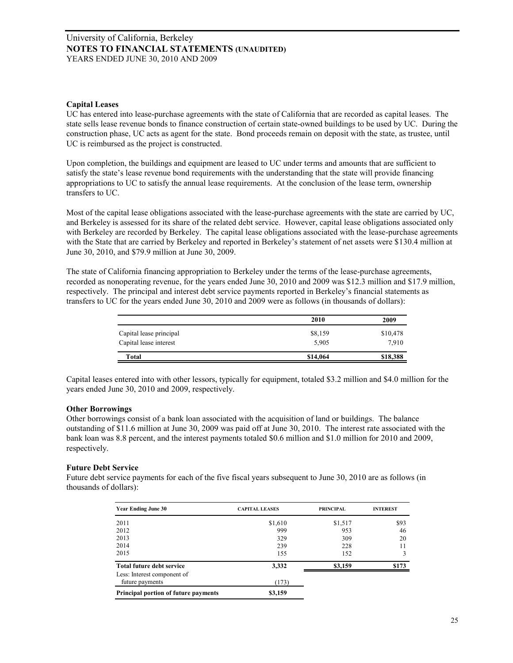#### **Capital Leases**

UC has entered into lease-purchase agreements with the state of California that are recorded as capital leases. The state sells lease revenue bonds to finance construction of certain state-owned buildings to be used by UC. During the construction phase, UC acts as agent for the state. Bond proceeds remain on deposit with the state, as trustee, until UC is reimbursed as the project is constructed.

Upon completion, the buildings and equipment are leased to UC under terms and amounts that are sufficient to satisfy the state's lease revenue bond requirements with the understanding that the state will provide financing appropriations to UC to satisfy the annual lease requirements. At the conclusion of the lease term, ownership transfers to UC.

Most of the capital lease obligations associated with the lease-purchase agreements with the state are carried by UC, and Berkeley is assessed for its share of the related debt service. However, capital lease obligations associated only with Berkeley are recorded by Berkeley. The capital lease obligations associated with the lease-purchase agreements with the State that are carried by Berkeley and reported in Berkeley's statement of net assets were \$130.4 million at June 30, 2010, and \$79.9 million at June 30, 2009.

The state of California financing appropriation to Berkeley under the terms of the lease-purchase agreements, recorded as nonoperating revenue, for the years ended June 30, 2010 and 2009 was \$12.3 million and \$17.9 million, respectively. The principal and interest debt service payments reported in Berkeley's financial statements as transfers to UC for the years ended June 30, 2010 and 2009 were as follows (in thousands of dollars):

|                                                   | 2010             | 2009              |
|---------------------------------------------------|------------------|-------------------|
| Capital lease principal<br>Capital lease interest | \$8,159<br>5,905 | \$10,478<br>7.910 |
| Total                                             | \$14,064         | \$18,388          |

Capital leases entered into with other lessors, typically for equipment, totaled \$3.2 million and \$4.0 million for the years ended June 30, 2010 and 2009, respectively.

#### **Other Borrowings**

Other borrowings consist of a bank loan associated with the acquisition of land or buildings. The balance outstanding of \$11.6 million at June 30, 2009 was paid off at June 30, 2010. The interest rate associated with the bank loan was 8.8 percent, and the interest payments totaled \$0.6 million and \$1.0 million for 2010 and 2009, respectively.

#### **Future Debt Service**

Future debt service payments for each of the five fiscal years subsequent to June 30, 2010 are as follows (in thousands of dollars):

| <b>Year Ending June 30</b>           | <b>CAPITAL LEASES</b> | <b>PRINCIPAL</b> | <b>INTEREST</b> |
|--------------------------------------|-----------------------|------------------|-----------------|
| 2011                                 | \$1,610               | \$1,517          | \$93            |
| 2012                                 | 999                   | 953              | 46              |
| 2013                                 | 329                   | 309              | 20              |
| 2014                                 | 239                   | 228              | 11              |
| 2015                                 | 155                   | 152              | 3               |
| <b>Total future debt service</b>     | 3,332                 | \$3,159          | \$173           |
| Less: Interest component of          |                       |                  |                 |
| future payments                      | (173)                 |                  |                 |
| Principal portion of future payments | \$3,159               |                  |                 |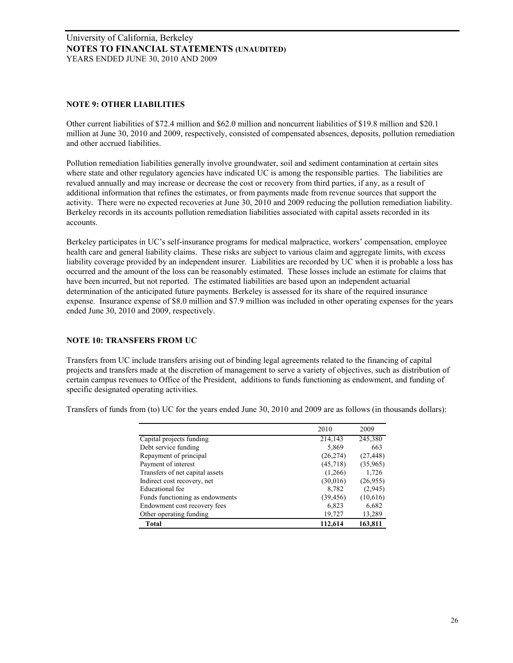#### **NOTE 9: OTHER LIABILITIES**

Other current liabilities of \$72.4 million and \$62.0 million and noncurrent liabilities of \$19.8 million and \$20.1 million at June 30, 2010 and 2009, respectively, consisted of compensated absences, deposits, pollution remediation and other accrued liabilities.

Pollution remediation liabilities generally involve groundwater, soil and sediment contamination at certain sites where state and other regulatory agencies have indicated UC is among the responsible parties. The liabilities are revalued annually and may increase or decrease the cost or recovery from third parties, if any, as a result of additional information that refines the estimates, or from payments made from revenue sources that support the activity. There were no expected recoveries at June 30, 2010 and 2009 reducing the pollution remediation liability. Berkeley records in its accounts pollution remediation liabilities associated with capital assets recorded in its accounts.

Berkeley participates in UC's self-insurance programs for medical malpractice, workers' compensation, employee health care and general liability claims. These risks are subject to various claim and aggregate limits, with excess liability coverage provided by an independent insurer. Liabilities are recorded by UC when it is probable a loss has occurred and the amount of the loss can be reasonably estimated. These losses include an estimate for claims that have been incurred, but not reported. The estimated liabilities are based upon an independent actuarial determination of the anticipated future payments. Berkeley is assessed for its share of the required insurance expense. Insurance expense of \$8.0 million and \$7.9 million was included in other operating expenses for the years ended June 30, 2010 and 2009, respectively.

## **NOTE 10: TRANSFERS FROM UC**

Transfers from UC include transfers arising out of binding legal agreements related to the financing of capital projects and transfers made at the discretion of management to serve a variety of objectives, such as distribution of certain campus revenues to Office of the President, additions to funds functioning as endowment, and funding of specific designated operating activities.

|                                 | 2010      | 2009      |
|---------------------------------|-----------|-----------|
| Capital projects funding        | 214,143   | 245,380   |
| Debt service funding            | 5,869     | 663       |
| Repayment of principal          | (26, 274) | (27, 448) |
| Payment of interest             | (45,718)  | (35,965)  |
| Transfers of net capital assets | (1,266)   | 1,726     |
| Indirect cost recovery, net     | (30,016)  | (26,955)  |
| Educational fee                 | 8.782     | (2,945)   |
| Funds functioning as endowments | (39, 456) | (10,616)  |
| Endowment cost recovery fees    | 6,823     | 6,682     |
| Other operating funding         | 19,727    | 13,289    |
| Total                           | 112,614   | 163,811   |

Transfers of funds from (to) UC for the years ended June 30, 2010 and 2009 are as follows (in thousands dollars):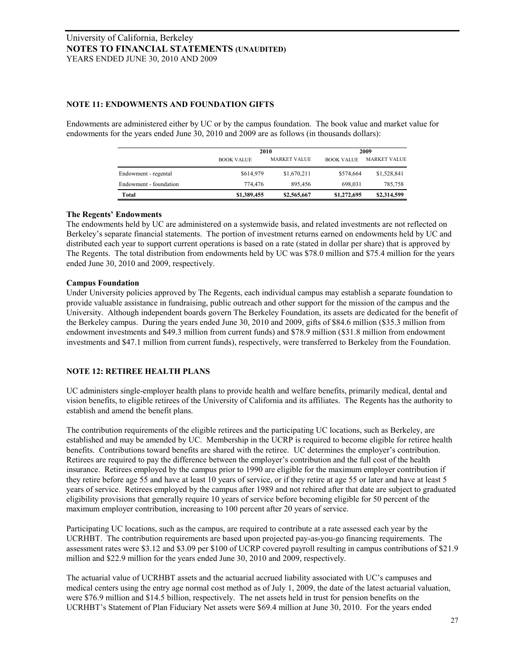#### **NOTE 11: ENDOWMENTS AND FOUNDATION GIFTS**

Endowments are administered either by UC or by the campus foundation. The book value and market value for endowments for the years ended June 30, 2010 and 2009 are as follows (in thousands dollars):

|                        |                   | 2010                |                   | 2009                |  |
|------------------------|-------------------|---------------------|-------------------|---------------------|--|
|                        | <b>BOOK VALUE</b> | <b>MARKET VALUE</b> | <b>BOOK VALUE</b> | <b>MARKET VALUE</b> |  |
| Endowment - regental   | \$614,979         | \$1,670,211         | \$574,664         | \$1,528,841         |  |
| Endowment - foundation | 774.476           | 895.456             | 698.031           | 785,758             |  |
| Total                  | \$1,389,455       | \$2,565,667         | \$1,272,695       | \$2,314,599         |  |

#### **The Regents' Endowments**

The endowments held by UC are administered on a systemwide basis, and related investments are not reflected on Berkeley's separate financial statements. The portion of investment returns earned on endowments held by UC and distributed each year to support current operations is based on a rate (stated in dollar per share) that is approved by The Regents. The total distribution from endowments held by UC was \$78.0 million and \$75.4 million for the years ended June 30, 2010 and 2009, respectively.

#### **Campus Foundation**

Under University policies approved by The Regents, each individual campus may establish a separate foundation to provide valuable assistance in fundraising, public outreach and other support for the mission of the campus and the University. Although independent boards govern The Berkeley Foundation, its assets are dedicated for the benefit of the Berkeley campus. During the years ended June 30, 2010 and 2009, gifts of \$84.6 million (\$35.3 million from endowment investments and \$49.3 million from current funds) and \$78.9 million (\$31.8 million from endowment investments and \$47.1 million from current funds), respectively, were transferred to Berkeley from the Foundation.

## **NOTE 12: RETIREE HEALTH PLANS**

UC administers single-employer health plans to provide health and welfare benefits, primarily medical, dental and vision benefits, to eligible retirees of the University of California and its affiliates. The Regents has the authority to establish and amend the benefit plans.

The contribution requirements of the eligible retirees and the participating UC locations, such as Berkeley, are established and may be amended by UC. Membership in the UCRP is required to become eligible for retiree health benefits. Contributions toward benefits are shared with the retiree. UC determines the employer's contribution. Retirees are required to pay the difference between the employer's contribution and the full cost of the health insurance. Retirees employed by the campus prior to 1990 are eligible for the maximum employer contribution if they retire before age 55 and have at least 10 years of service, or if they retire at age 55 or later and have at least 5 years of service. Retirees employed by the campus after 1989 and not rehired after that date are subject to graduated eligibility provisions that generally require 10 years of service before becoming eligible for 50 percent of the maximum employer contribution, increasing to 100 percent after 20 years of service.

Participating UC locations, such as the campus, are required to contribute at a rate assessed each year by the UCRHBT. The contribution requirements are based upon projected pay-as-you-go financing requirements. The assessment rates were \$3.12 and \$3.09 per \$100 of UCRP covered payroll resulting in campus contributions of \$21.9 million and \$22.9 million for the years ended June 30, 2010 and 2009, respectively.

The actuarial value of UCRHBT assets and the actuarial accrued liability associated with UC's campuses and medical centers using the entry age normal cost method as of July 1, 2009, the date of the latest actuarial valuation, were \$76.9 million and \$14.5 billion, respectively. The net assets held in trust for pension benefits on the UCRHBT's Statement of Plan Fiduciary Net assets were \$69.4 million at June 30, 2010. For the years ended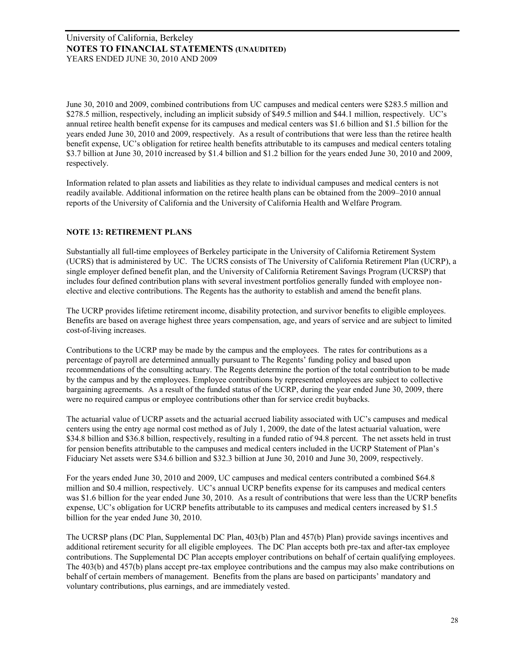June 30, 2010 and 2009, combined contributions from UC campuses and medical centers were \$283.5 million and \$278.5 million, respectively, including an implicit subsidy of \$49.5 million and \$44.1 million, respectively. UC's annual retiree health benefit expense for its campuses and medical centers was \$1.6 billion and \$1.5 billion for the years ended June 30, 2010 and 2009, respectively. As a result of contributions that were less than the retiree health benefit expense, UC's obligation for retiree health benefits attributable to its campuses and medical centers totaling \$3.7 billion at June 30, 2010 increased by \$1.4 billion and \$1.2 billion for the years ended June 30, 2010 and 2009, respectively.

Information related to plan assets and liabilities as they relate to individual campuses and medical centers is not readily available. Additional information on the retiree health plans can be obtained from the 2009–2010 annual reports of the University of California and the University of California Health and Welfare Program.

## **NOTE 13: RETIREMENT PLANS**

Substantially all full-time employees of Berkeley participate in the University of California Retirement System (UCRS) that is administered by UC. The UCRS consists of The University of California Retirement Plan (UCRP), a single employer defined benefit plan, and the University of California Retirement Savings Program (UCRSP) that includes four defined contribution plans with several investment portfolios generally funded with employee nonelective and elective contributions. The Regents has the authority to establish and amend the benefit plans.

The UCRP provides lifetime retirement income, disability protection, and survivor benefits to eligible employees. Benefits are based on average highest three years compensation, age, and years of service and are subject to limited cost-of-living increases.

Contributions to the UCRP may be made by the campus and the employees. The rates for contributions as a percentage of payroll are determined annually pursuant to The Regents' funding policy and based upon recommendations of the consulting actuary. The Regents determine the portion of the total contribution to be made by the campus and by the employees. Employee contributions by represented employees are subject to collective bargaining agreements. As a result of the funded status of the UCRP, during the year ended June 30, 2009, there were no required campus or employee contributions other than for service credit buybacks.

The actuarial value of UCRP assets and the actuarial accrued liability associated with UC's campuses and medical centers using the entry age normal cost method as of July 1, 2009, the date of the latest actuarial valuation, were \$34.8 billion and \$36.8 billion, respectively, resulting in a funded ratio of 94.8 percent. The net assets held in trust for pension benefits attributable to the campuses and medical centers included in the UCRP Statement of Plan's Fiduciary Net assets were \$34.6 billion and \$32.3 billion at June 30, 2010 and June 30, 2009, respectively.

For the years ended June 30, 2010 and 2009, UC campuses and medical centers contributed a combined \$64.8 million and \$0.4 million, respectively. UC's annual UCRP benefits expense for its campuses and medical centers was \$1.6 billion for the year ended June 30, 2010. As a result of contributions that were less than the UCRP benefits expense, UC's obligation for UCRP benefits attributable to its campuses and medical centers increased by \$1.5 billion for the year ended June 30, 2010.

The UCRSP plans (DC Plan, Supplemental DC Plan, 403(b) Plan and 457(b) Plan) provide savings incentives and additional retirement security for all eligible employees. The DC Plan accepts both pre-tax and after-tax employee contributions. The Supplemental DC Plan accepts employer contributions on behalf of certain qualifying employees. The 403(b) and 457(b) plans accept pre-tax employee contributions and the campus may also make contributions on behalf of certain members of management. Benefits from the plans are based on participants' mandatory and voluntary contributions, plus earnings, and are immediately vested.